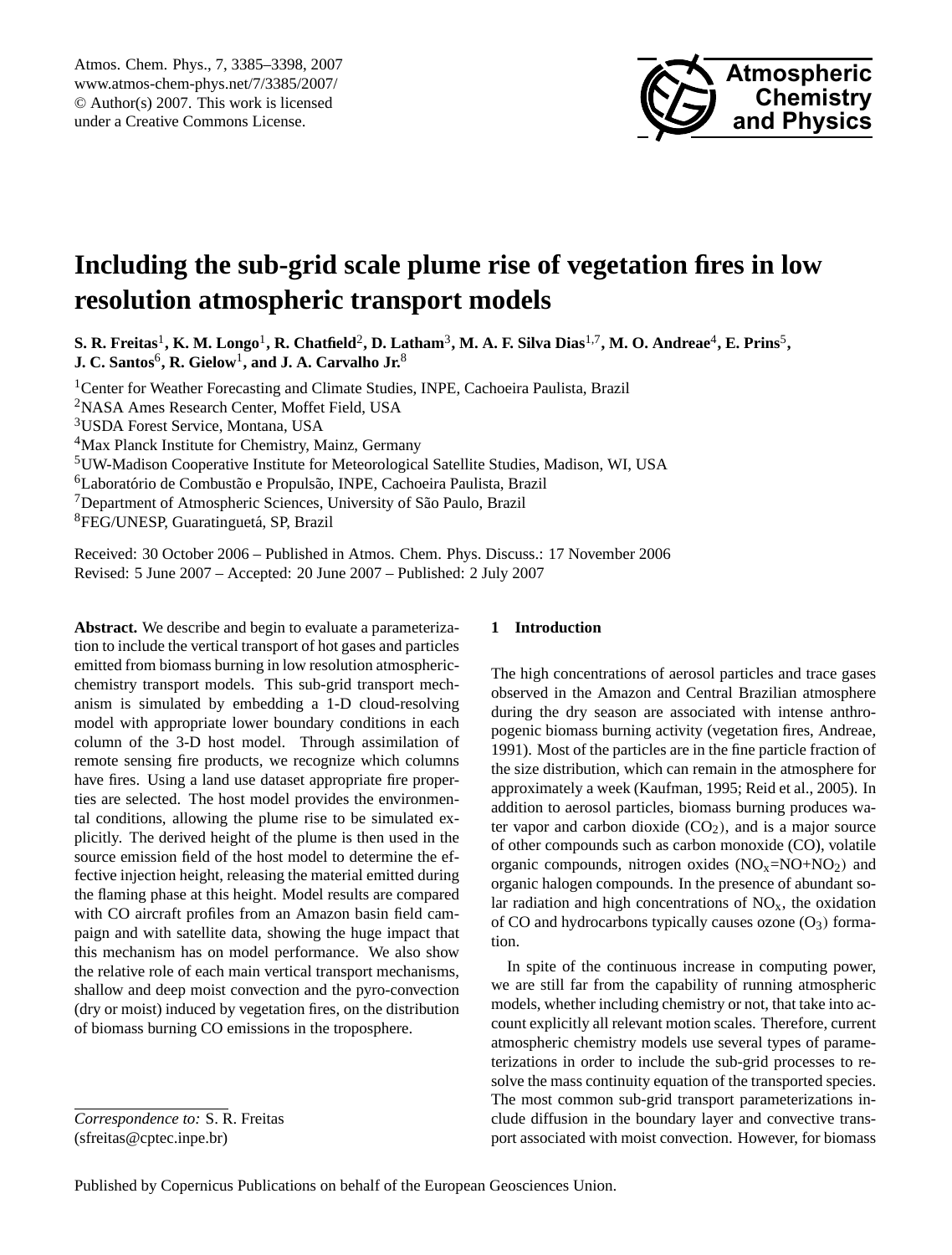

# <span id="page-0-0"></span>**Including the sub-grid scale plume rise of vegetation fires in low resolution atmospheric transport models**

 $S$ . R. Freitas<sup>1</sup>, K. M. Longo<sup>1</sup>, R. Chatfield<sup>2</sup>, D. Latham<sup>3</sup>, M. A. F. Silva Dias<sup>1,7</sup>, M. O. Andreae<sup>4</sup>, E. Prins<sup>5</sup>,  $\mathbf{J.~C.~Santos}^6,\mathbf{R.~Gielow}^1,\mathbf{and~J.~A.~Carvalho~Jr.}^8$ 

<sup>1</sup> Center for Weather Forecasting and Climate Studies, INPE, Cachoeira Paulista, Brazil <sup>2</sup>NASA Ames Research Center, Moffet Field, USA <sup>3</sup>USDA Forest Service, Montana, USA <sup>4</sup>Max Planck Institute for Chemistry, Mainz, Germany <sup>5</sup>UW-Madison Cooperative Institute for Meteorological Satellite Studies, Madison, WI, USA <sup>6</sup>Laboratório de Combustão e Propulsão, INPE, Cachoeira Paulista, Brazil <sup>7</sup>Department of Atmospheric Sciences, University of São Paulo, Brazil <sup>8</sup>FEG/UNESP, Guaratinguetá, SP, Brazil

Received: 30 October 2006 – Published in Atmos. Chem. Phys. Discuss.: 17 November 2006 Revised: 5 June 2007 – Accepted: 20 June 2007 – Published: 2 July 2007

**Abstract.** We describe and begin to evaluate a parameterization to include the vertical transport of hot gases and particles emitted from biomass burning in low resolution atmosphericchemistry transport models. This sub-grid transport mechanism is simulated by embedding a 1-D cloud-resolving model with appropriate lower boundary conditions in each column of the 3-D host model. Through assimilation of remote sensing fire products, we recognize which columns have fires. Using a land use dataset appropriate fire properties are selected. The host model provides the environmental conditions, allowing the plume rise to be simulated explicitly. The derived height of the plume is then used in the source emission field of the host model to determine the effective injection height, releasing the material emitted during the flaming phase at this height. Model results are compared with CO aircraft profiles from an Amazon basin field campaign and with satellite data, showing the huge impact that this mechanism has on model performance. We also show the relative role of each main vertical transport mechanisms, shallow and deep moist convection and the pyro-convection (dry or moist) induced by vegetation fires, on the distribution of biomass burning CO emissions in the troposphere.

## **1 Introduction**

The high concentrations of aerosol particles and trace gases observed in the Amazon and Central Brazilian atmosphere during the dry season are associated with intense anthropogenic biomass burning activity (vegetation fires, [Andreae,](#page-11-0) [1991\)](#page-11-0). Most of the particles are in the fine particle fraction of the size distribution, which can remain in the atmosphere for approximately a week [\(Kaufman,](#page-12-0) [1995;](#page-12-0) [Reid et al.,](#page-12-1) [2005\)](#page-12-1). In addition to aerosol particles, biomass burning produces water vapor and carbon dioxide  $(CO<sub>2</sub>)$ , and is a major source of other compounds such as carbon monoxide (CO), volatile organic compounds, nitrogen oxides  $(NO<sub>x</sub>=NO+NO<sub>2</sub>)$  and organic halogen compounds. In the presence of abundant solar radiation and high concentrations of  $NO<sub>x</sub>$ , the oxidation of CO and hydrocarbons typically causes ozone  $(O_3)$  formation.

In spite of the continuous increase in computing power, we are still far from the capability of running atmospheric models, whether including chemistry or not, that take into account explicitly all relevant motion scales. Therefore, current atmospheric chemistry models use several types of parameterizations in order to include the sub-grid processes to resolve the mass continuity equation of the transported species. The most common sub-grid transport parameterizations include diffusion in the boundary layer and convective transport associated with moist convection. However, for biomass

*Correspondence to:* S. R. Freitas (sfreitas@cptec.inpe.br)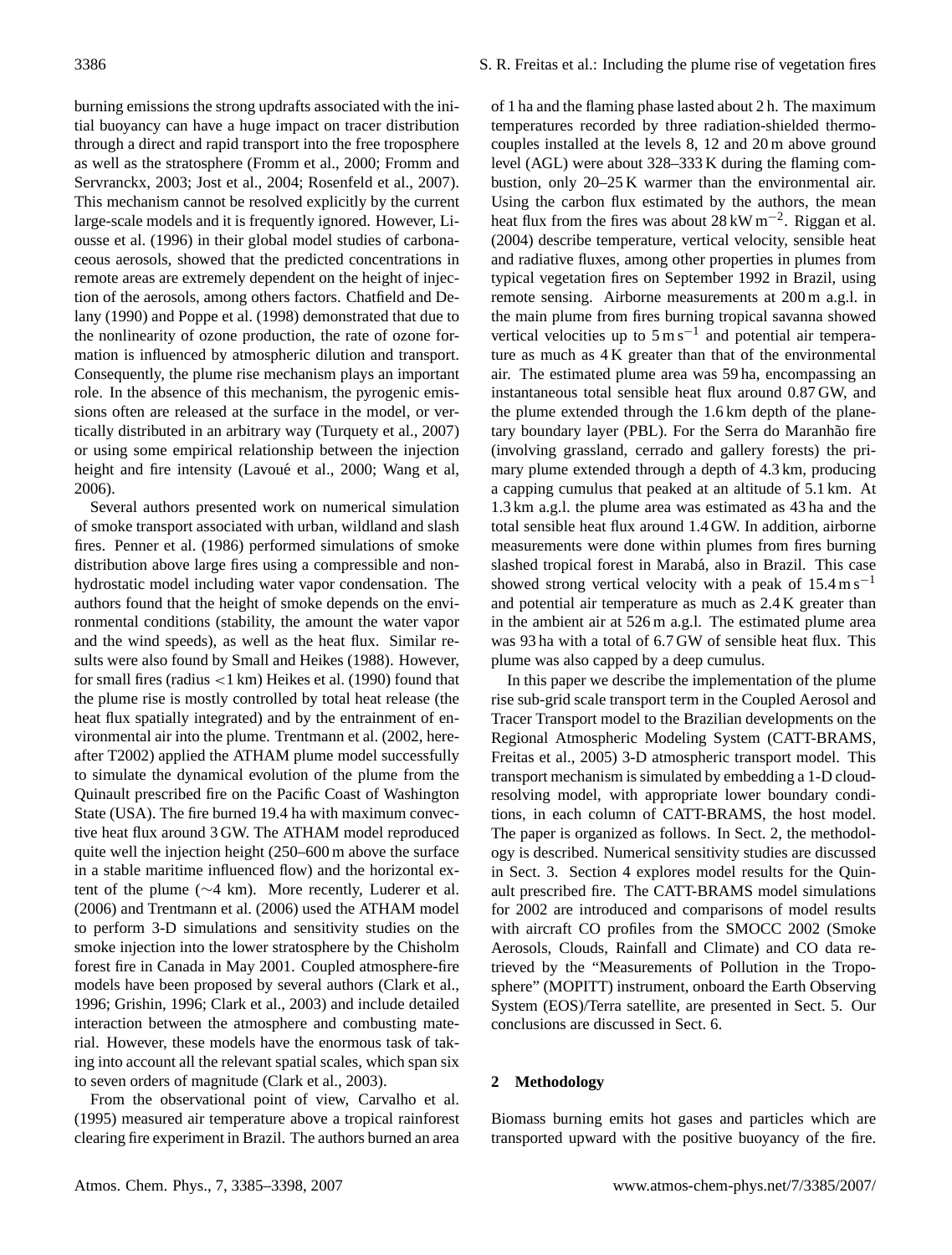burning emissions the strong updrafts associated with the initial buoyancy can have a huge impact on tracer distribution through a direct and rapid transport into the free troposphere as well as the stratosphere [\(Fromm et al.,](#page-11-1) [2000;](#page-11-1) [Fromm and](#page-11-2) [Servranckx,](#page-11-2) [2003;](#page-11-2) [Jost et al.,](#page-12-2) [2004;](#page-12-2) [Rosenfeld et al.,](#page-12-3) [2007\)](#page-12-3). This mechanism cannot be resolved explicitly by the current large-scale models and it is frequently ignored. However, [Li](#page-12-4)[ousse et al.](#page-12-4) [\(1996\)](#page-12-4) in their global model studies of carbonaceous aerosols, showed that the predicted concentrations in remote areas are extremely dependent on the height of injection of the aerosols, among others factors. [Chatfield and De](#page-11-3)[lany](#page-11-3) [\(1990\)](#page-11-3) and [Poppe et al.](#page-12-5) [\(1998\)](#page-12-5) demonstrated that due to the nonlinearity of ozone production, the rate of ozone formation is influenced by atmospheric dilution and transport. Consequently, the plume rise mechanism plays an important role. In the absence of this mechanism, the pyrogenic emissions often are released at the surface in the model, or vertically distributed in an arbitrary way [\(Turquety et al.,](#page-12-6) [2007\)](#page-12-6) or using some empirical relationship between the injection height and fire intensity (Lavoué et al., [2000;](#page-12-7) [Wang et al,](#page-13-0) [2006\)](#page-13-0).

Several authors presented work on numerical simulation of smoke transport associated with urban, wildland and slash fires. [Penner et al.](#page-12-8) [\(1986\)](#page-12-8) performed simulations of smoke distribution above large fires using a compressible and nonhydrostatic model including water vapor condensation. The authors found that the height of smoke depends on the environmental conditions (stability, the amount the water vapor and the wind speeds), as well as the heat flux. Similar results were also found by [Small and Heikes](#page-12-9) [\(1988\)](#page-12-9). However, for small fires (radius <1 km) [Heikes et al.](#page-12-10) [\(1990\)](#page-12-10) found that the plume rise is mostly controlled by total heat release (the heat flux spatially integrated) and by the entrainment of environmental air into the plume. [Trentmann et al.](#page-12-11) [\(2002,](#page-12-11) hereafter T2002) applied the ATHAM plume model successfully to simulate the dynamical evolution of the plume from the Quinault prescribed fire on the Pacific Coast of Washington State (USA). The fire burned 19.4 ha with maximum convective heat flux around 3 GW. The ATHAM model reproduced quite well the injection height (250–600 m above the surface in a stable maritime influenced flow) and the horizontal extent of the plume (∼4 km). More recently, [Luderer et al.](#page-12-12) [\(2006\)](#page-12-12) and [Trentmann et al.](#page-12-13) [\(2006\)](#page-12-13) used the ATHAM model to perform 3-D simulations and sensitivity studies on the smoke injection into the lower stratosphere by the Chisholm forest fire in Canada in May 2001. Coupled atmosphere-fire models have been proposed by several authors [\(Clark et al.,](#page-11-4) [1996;](#page-11-4) [Grishin,](#page-11-5) [1996;](#page-11-5) [Clark et al.,](#page-11-6) [2003\)](#page-11-6) and include detailed interaction between the atmosphere and combusting material. However, these models have the enormous task of taking into account all the relevant spatial scales, which span six to seven orders of magnitude [\(Clark et al.,](#page-11-6) [2003\)](#page-11-6).

From the observational point of view, [Carvalho et al.](#page-11-7) [\(1995\)](#page-11-7) measured air temperature above a tropical rainforest clearing fire experiment in Brazil. The authors burned an area of 1 ha and the flaming phase lasted about 2 h. The maximum temperatures recorded by three radiation-shielded thermocouples installed at the levels 8, 12 and 20 m above ground level (AGL) were about 328–333 K during the flaming combustion, only 20–25 K warmer than the environmental air. Using the carbon flux estimated by the authors, the mean heat flux from the fires was about  $28 \text{ kW m}^{-2}$ . [Riggan et al.](#page-12-14) [\(2004\)](#page-12-14) describe temperature, vertical velocity, sensible heat and radiative fluxes, among other properties in plumes from typical vegetation fires on September 1992 in Brazil, using remote sensing. Airborne measurements at 200 m a.g.l. in the main plume from fires burning tropical savanna showed vertical velocities up to  $5 \text{ m s}^{-1}$  and potential air temperature as much as 4 K greater than that of the environmental air. The estimated plume area was 59 ha, encompassing an instantaneous total sensible heat flux around 0.87 GW, and the plume extended through the 1.6 km depth of the planetary boundary layer (PBL). For the Serra do Maranhão fire (involving grassland, cerrado and gallery forests) the primary plume extended through a depth of 4.3 km, producing a capping cumulus that peaked at an altitude of 5.1 km. At 1.3 km a.g.l. the plume area was estimated as 43 ha and the total sensible heat flux around 1.4 GW. In addition, airborne measurements were done within plumes from fires burning slashed tropical forest in Marabá, also in Brazil. This case showed strong vertical velocity with a peak of  $15.4 \text{ m s}^{-1}$ and potential air temperature as much as 2.4 K greater than in the ambient air at 526 m a.g.l. The estimated plume area was 93 ha with a total of 6.7 GW of sensible heat flux. This plume was also capped by a deep cumulus.

In this paper we describe the implementation of the plume rise sub-grid scale transport term in the Coupled Aerosol and Tracer Transport model to the Brazilian developments on the Regional Atmospheric Modeling System (CATT-BRAMS, [Freitas et al.,](#page-11-8) [2005\)](#page-11-8) 3-D atmospheric transport model. This transport mechanism is simulated by embedding a 1-D cloudresolving model, with appropriate lower boundary conditions, in each column of CATT-BRAMS, the host model. The paper is organized as follows. In Sect. 2, the methodology is described. Numerical sensitivity studies are discussed in Sect. 3. Section 4 explores model results for the Quinault prescribed fire. The CATT-BRAMS model simulations for 2002 are introduced and comparisons of model results with aircraft CO profiles from the SMOCC 2002 (Smoke Aerosols, Clouds, Rainfall and Climate) and CO data retrieved by the "Measurements of Pollution in the Troposphere" (MOPITT) instrument, onboard the Earth Observing System (EOS)/Terra satellite, are presented in Sect. 5. Our conclusions are discussed in Sect. 6.

#### **2 Methodology**

Biomass burning emits hot gases and particles which are transported upward with the positive buoyancy of the fire.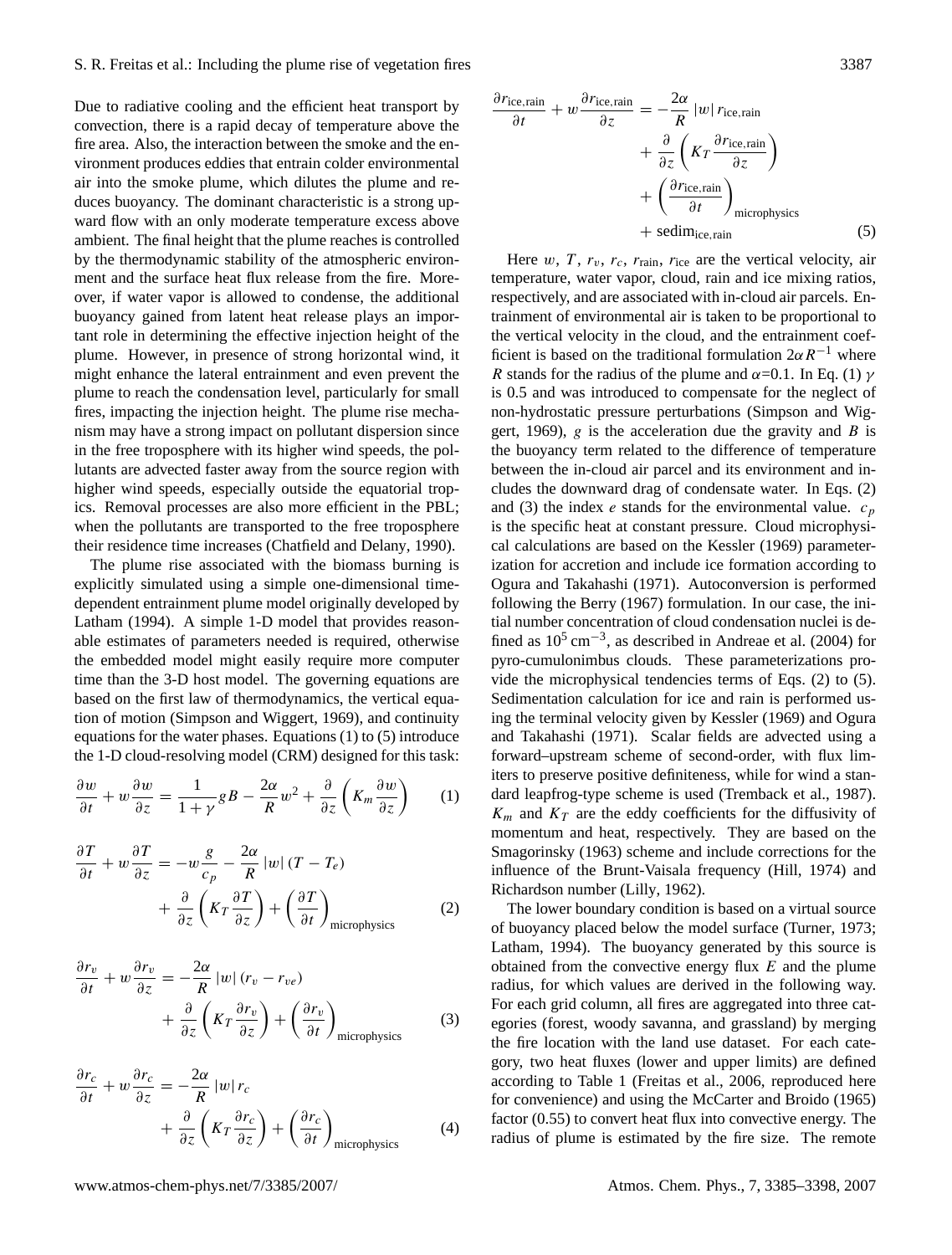Due to radiative cooling and the efficient heat transport by convection, there is a rapid decay of temperature above the fire area. Also, the interaction between the smoke and the environment produces eddies that entrain colder environmental air into the smoke plume, which dilutes the plume and reduces buoyancy. The dominant characteristic is a strong upward flow with an only moderate temperature excess above ambient. The final height that the plume reaches is controlled by the thermodynamic stability of the atmospheric environment and the surface heat flux release from the fire. Moreover, if water vapor is allowed to condense, the additional buoyancy gained from latent heat release plays an important role in determining the effective injection height of the plume. However, in presence of strong horizontal wind, it might enhance the lateral entrainment and even prevent the plume to reach the condensation level, particularly for small fires, impacting the injection height. The plume rise mechanism may have a strong impact on pollutant dispersion since in the free troposphere with its higher wind speeds, the pollutants are advected faster away from the source region with higher wind speeds, especially outside the equatorial tropics. Removal processes are also more efficient in the PBL; when the pollutants are transported to the free troposphere their residence time increases [\(Chatfield and Delany,](#page-11-3) [1990\)](#page-11-3).

The plume rise associated with the biomass burning is explicitly simulated using a simple one-dimensional timedependent entrainment plume model originally developed by [Latham](#page-12-15) [\(1994\)](#page-12-15). A simple 1-D model that provides reasonable estimates of parameters needed is required, otherwise the embedded model might easily require more computer time than the 3-D host model. The governing equations are based on the first law of thermodynamics, the vertical equation of motion [\(Simpson and Wiggert,](#page-12-16) [1969\)](#page-12-16), and continuity equations for the water phases. Equations [\(1\)](#page-2-0) to [\(5\)](#page-2-1) introduce the 1-D cloud-resolving model (CRM) designed for this task:

<span id="page-2-0"></span>
$$
\frac{\partial w}{\partial t} + w \frac{\partial w}{\partial z} = \frac{1}{1 + \gamma} g B - \frac{2\alpha}{R} w^2 + \frac{\partial}{\partial z} \left( K_m \frac{\partial w}{\partial z} \right) \tag{1}
$$

<span id="page-2-2"></span>
$$
\frac{\partial T}{\partial t} + w \frac{\partial T}{\partial z} = -w \frac{g}{c_p} - \frac{2\alpha}{R} |w| (T - T_e) \n+ \frac{\partial}{\partial z} \left( K_T \frac{\partial T}{\partial z} \right) + \left( \frac{\partial T}{\partial t} \right)_{\text{microphysics}} \tag{2}
$$

<span id="page-2-3"></span>
$$
\frac{\partial r_v}{\partial t} + w \frac{\partial r_v}{\partial z} = -\frac{2\alpha}{R} |w| (r_v - r_{ve}) \n+ \frac{\partial}{\partial z} \left( K_T \frac{\partial r_v}{\partial z} \right) + \left( \frac{\partial r_v}{\partial t} \right)_{\text{microphysics}}
$$
\n(3)

$$
\frac{\partial r_c}{\partial t} + w \frac{\partial r_c}{\partial z} = -\frac{2\alpha}{R} |w| r_c \n+ \frac{\partial}{\partial z} \left( K_T \frac{\partial r_c}{\partial z} \right) + \left( \frac{\partial r_c}{\partial t} \right)_{\text{microphysics}}
$$
\n(4)

<span id="page-2-1"></span>
$$
\frac{\partial r_{\text{ice,rain}}}{\partial t} + w \frac{\partial r_{\text{ice,rain}}}{\partial z} = -\frac{2\alpha}{R} |w| r_{\text{ice,rain}} + \frac{\partial}{\partial z} \left( K_T \frac{\partial r_{\text{ice, rain}}}{\partial z} \right) + \left( \frac{\partial r_{\text{ice, rain}}}{\partial t} \right)_{\text{microphysics}} + \text{sedim}_{\text{ice, rain}} \tag{5}
$$

Here w, T,  $r_v$ ,  $r_c$ ,  $r_{\text{rain}}$ ,  $r_{\text{ice}}$  are the vertical velocity, air temperature, water vapor, cloud, rain and ice mixing ratios, respectively, and are associated with in-cloud air parcels. Entrainment of environmental air is taken to be proportional to the vertical velocity in the cloud, and the entrainment coefficient is based on the traditional formulation  $2\alpha R^{-1}$  where R stands for the radius of the plume and  $\alpha$ =0.1. In Eq. [\(1\)](#page-2-0)  $\gamma$ is 0.5 and was introduced to compensate for the neglect of non-hydrostatic pressure perturbations [\(Simpson and Wig](#page-12-16)[gert,](#page-12-16) [1969\)](#page-12-16), g is the acceleration due the gravity and B is the buoyancy term related to the difference of temperature between the in-cloud air parcel and its environment and includes the downward drag of condensate water. In Eqs. [\(2\)](#page-2-2) and [\(3\)](#page-2-3) the index e stands for the environmental value.  $c_p$ is the specific heat at constant pressure. Cloud microphysical calculations are based on the [Kessler](#page-12-17) [\(1969\)](#page-12-17) parameterization for accretion and include ice formation according to [Ogura and Takahashi](#page-12-18) [\(1971\)](#page-12-18). Autoconversion is performed following the [Berry](#page-11-9) [\(1967\)](#page-11-9) formulation. In our case, the initial number concentration of cloud condensation nuclei is defined as  $10^5 \text{ cm}^{-3}$ , as described in [Andreae et al.](#page-11-10) [\(2004\)](#page-11-10) for pyro-cumulonimbus clouds. These parameterizations provide the microphysical tendencies terms of Eqs. [\(2\)](#page-2-2) to [\(5\)](#page-2-1). Sedimentation calculation for ice and rain is performed using the terminal velocity given by [Kessler](#page-12-17) [\(1969\)](#page-12-17) and [Ogura](#page-12-18) [and Takahashi](#page-12-18) [\(1971\)](#page-12-18). Scalar fields are advected using a forward–upstream scheme of second-order, with flux limiters to preserve positive definiteness, while for wind a standard leapfrog-type scheme is used [\(Tremback et al.,](#page-12-19) [1987\)](#page-12-19).  $K_m$  and  $K_T$  are the eddy coefficients for the diffusivity of momentum and heat, respectively. They are based on the [Smagorinsky](#page-12-20) [\(1963\)](#page-12-20) scheme and include corrections for the influence of the Brunt-Vaisala frequency [\(Hill,](#page-12-21) [1974\)](#page-12-21) and Richardson number [\(Lilly,](#page-12-22) [1962\)](#page-12-22).

The lower boundary condition is based on a virtual source of buoyancy placed below the model surface [\(Turner,](#page-12-23) [1973;](#page-12-23) [Latham,](#page-12-15) [1994\)](#page-12-15). The buoyancy generated by this source is obtained from the convective energy flux  $E$  and the plume radius, for which values are derived in the following way. For each grid column, all fires are aggregated into three categories (forest, woody savanna, and grassland) by merging the fire location with the land use dataset. For each category, two heat fluxes (lower and upper limits) are defined according to Table 1 [\(Freitas et al.,](#page-11-11) [2006,](#page-11-11) reproduced here for convenience) and using the [McCarter and Broido](#page-12-24) [\(1965\)](#page-12-24) factor (0.55) to convert heat flux into convective energy. The radius of plume is estimated by the fire size. The remote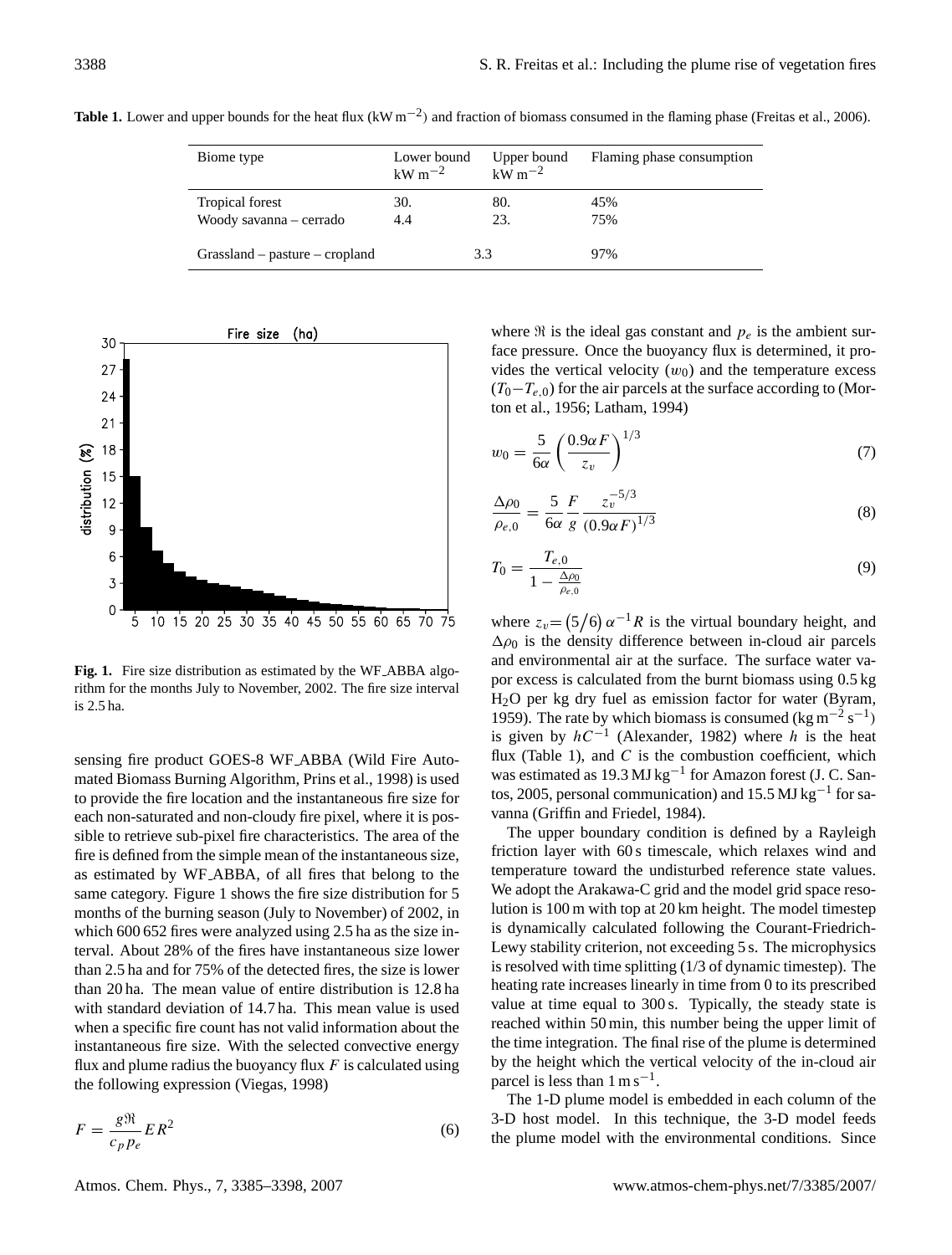| Biome type                                 | Lower bound<br>$\mathrm{kW~m^{-2}}$ | Upper bound<br>$k\overline{W}$ m <sup>-2</sup> | Flaming phase consumption |
|--------------------------------------------|-------------------------------------|------------------------------------------------|---------------------------|
| Tropical forest<br>Woody savanna – cerrado | 30.<br>4.4                          | 80.<br>23.                                     | 45%<br>75%                |
| $Grassland - pasture - cropland$           |                                     | 3.3                                            | 97%                       |

Table 1. Lower and upper bounds for the heat flux (kW m<sup>-2</sup>) and fraction of biomass consumed in the flaming phase [\(Freitas et al.,](#page-11-11) [2006\)](#page-11-11).



<span id="page-3-0"></span>**Fig. 1.** Fire size distribution as estimated by the WF ABBA algorithm for the months July to November, 2002. The fire size interval is 2.5 ha.

sensing fire product GOES-8 WF ABBA (Wild Fire Automated Biomass Burning Algorithm, [Prins et al.,](#page-12-25) [1998\)](#page-12-25) is used to provide the fire location and the instantaneous fire size for each non-saturated and non-cloudy fire pixel, where it is possible to retrieve sub-pixel fire characteristics. The area of the fire is defined from the simple mean of the instantaneous size, as estimated by WF ABBA, of all fires that belong to the same category. Figure [1](#page-3-0) shows the fire size distribution for 5 months of the burning season (July to November) of 2002, in which 600 652 fires were analyzed using 2.5 ha as the size interval. About 28% of the fires have instantaneous size lower than 2.5 ha and for 75% of the detected fires, the size is lower than 20 ha. The mean value of entire distribution is 12.8 ha with standard deviation of 14.7 ha. This mean value is used when a specific fire count has not valid information about the instantaneous fire size. With the selected convective energy flux and plume radius the buoyancy flux  $F$  is calculated using the following expression [\(Viegas,](#page-12-26) [1998\)](#page-12-26)

$$
F = \frac{g\Re}{c_p p_e} E R^2
$$
 (6)

where  $\Re$  is the ideal gas constant and  $p_e$  is the ambient surface pressure. Once the buoyancy flux is determined, it provides the vertical velocity  $(w_0)$  and the temperature excess  $(T_0-T_{e,0})$  for the air parcels at the surface according to [\(Mor](#page-12-27)[ton et al.,](#page-12-27) [1956;](#page-12-27) [Latham,](#page-12-15) [1994\)](#page-12-15)

$$
w_0 = \frac{5}{6\alpha} \left(\frac{0.9\alpha F}{z_v}\right)^{1/3} \tag{7}
$$

$$
\frac{\Delta \rho_0}{\rho_{e,0}} = \frac{5}{6\alpha} \frac{F}{g} \frac{z_v^{-5/3}}{(0.9\alpha F)^{1/3}}
$$
(8)

$$
T_0 = \frac{T_{e,0}}{1 - \frac{\Delta \rho_0}{\rho_{e,0}}} \tag{9}
$$

where  $z_v = (5/6) \alpha^{-1} R$  is the virtual boundary height, and  $\Delta \rho_0$  is the density difference between in-cloud air parcels and environmental air at the surface. The surface water vapor excess is calculated from the burnt biomass using 0.5 kg H2O per kg dry fuel as emission factor for water [\(Byram,](#page-11-12) [1959\)](#page-11-12). The rate by which biomass is consumed (kg m<sup>-2</sup> s<sup>-1</sup>) is given by  $hC^{-1}$  [\(Alexander,](#page-11-13) [1982\)](#page-11-13) where h is the heat flux (Table 1), and  $C$  is the combustion coefficient, which was estimated as 19.3 MJ kg<sup>-1</sup> for Amazon forest (J. C. Santos, 2005, personal communication) and 15.5 MJ kg−<sup>1</sup> for savanna [\(Griffin and Friedel,](#page-11-14) [1984\)](#page-11-14).

The upper boundary condition is defined by a Rayleigh friction layer with 60 s timescale, which relaxes wind and temperature toward the undisturbed reference state values. We adopt the Arakawa-C grid and the model grid space resolution is 100 m with top at 20 km height. The model timestep is dynamically calculated following the Courant-Friedrich-Lewy stability criterion, not exceeding 5 s. The microphysics is resolved with time splitting (1/3 of dynamic timestep). The heating rate increases linearly in time from 0 to its prescribed value at time equal to 300 s. Typically, the steady state is reached within 50 min, this number being the upper limit of the time integration. The final rise of the plume is determined by the height which the vertical velocity of the in-cloud air parcel is less than  $1 \text{ m s}^{-1}$ .

The 1-D plume model is embedded in each column of the 3-D host model. In this technique, the 3-D model feeds the plume model with the environmental conditions. Since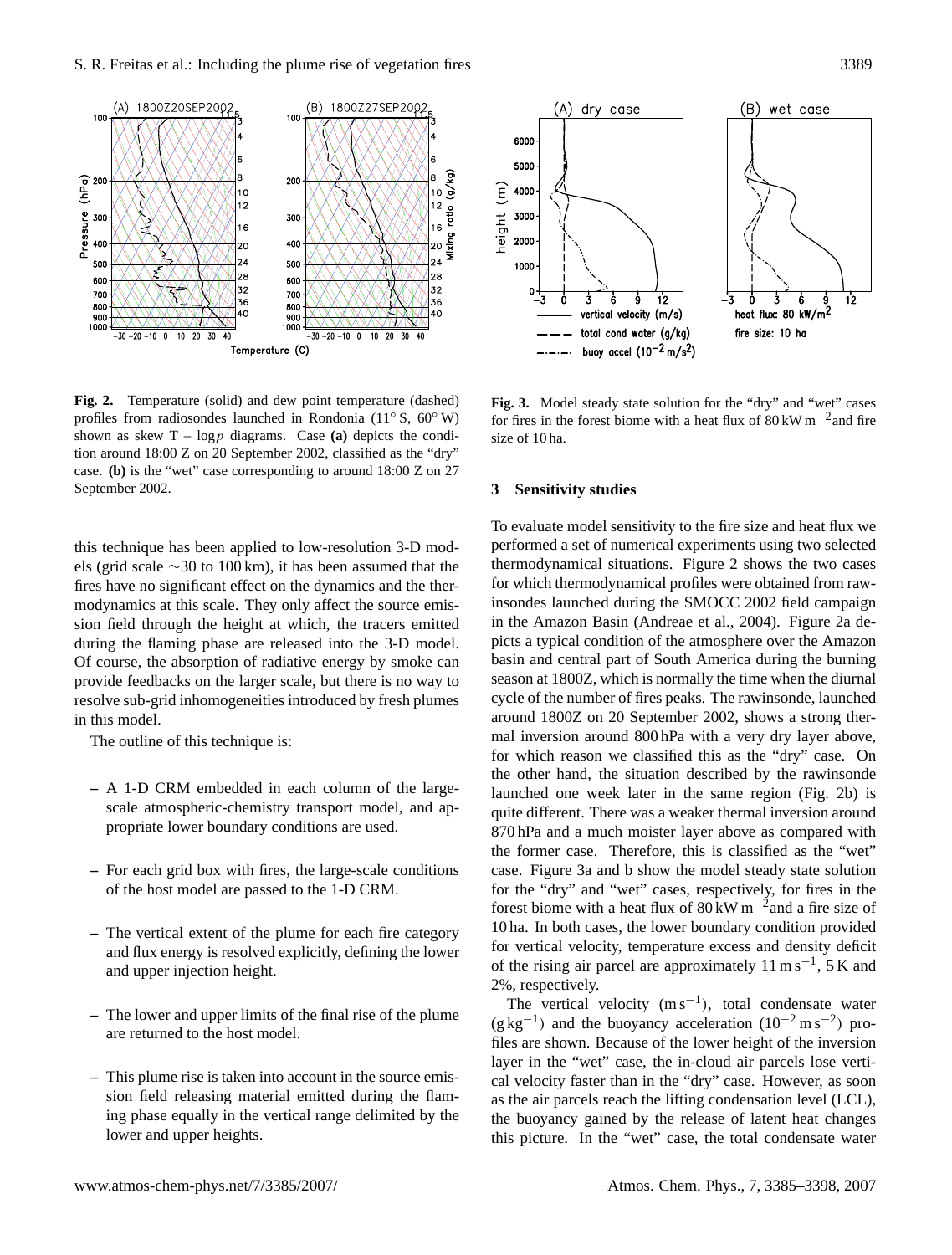

<span id="page-4-0"></span>**Fig. 2.** Temperature (solid) and dew point temperature (dashed) profiles from radiosondes launched in Rondonia (11◦ S, 60◦ W) shown as skew  $T - log p$  diagrams. Case (a) depicts the condition around 18:00 Z on 20 September 2002, classified as the "dry" case. **(b)** is the "wet" case corresponding to around 18:00 Z on 27 September 2002.

this technique has been applied to low-resolution 3-D models (grid scale ∼30 to 100 km), it has been assumed that the fires have no significant effect on the dynamics and the thermodynamics at this scale. They only affect the source emission field through the height at which, the tracers emitted during the flaming phase are released into the 3-D model. Of course, the absorption of radiative energy by smoke can provide feedbacks on the larger scale, but there is no way to resolve sub-grid inhomogeneities introduced by fresh plumes in this model.

The outline of this technique is:

- **–** A 1-D CRM embedded in each column of the largescale atmospheric-chemistry transport model, and appropriate lower boundary conditions are used.
- **–** For each grid box with fires, the large-scale conditions of the host model are passed to the 1-D CRM.
- **–** The vertical extent of the plume for each fire category and flux energy is resolved explicitly, defining the lower and upper injection height.
- **–** The lower and upper limits of the final rise of the plume are returned to the host model.
- **–** This plume rise is taken into account in the source emission field releasing material emitted during the flaming phase equally in the vertical range delimited by the lower and upper heights.



<span id="page-4-1"></span>**Fig. 3.** Model steady state solution for the "dry" and "wet" cases for fires in the forest biome with a heat flux of  $80 \text{ kW m}^{-2}$  and fire size of 10 ha.

## **3 Sensitivity studies**

To evaluate model sensitivity to the fire size and heat flux we performed a set of numerical experiments using two selected thermodynamical situations. Figure [2](#page-4-0) shows the two cases for which thermodynamical profiles were obtained from rawinsondes launched during the SMOCC 2002 field campaign in the Amazon Basin [\(Andreae et al.,](#page-11-10) [2004\)](#page-11-10). Figure [2a](#page-4-0) depicts a typical condition of the atmosphere over the Amazon basin and central part of South America during the burning season at 1800Z, which is normally the time when the diurnal cycle of the number of fires peaks. The rawinsonde, launched around 1800Z on 20 September 2002, shows a strong thermal inversion around 800 hPa with a very dry layer above, for which reason we classified this as the "dry" case. On the other hand, the situation described by the rawinsonde launched one week later in the same region (Fig. [2b](#page-4-0)) is quite different. There was a weaker thermal inversion around 870 hPa and a much moister layer above as compared with the former case. Therefore, this is classified as the "wet" case. Figure [3a](#page-4-1) and b show the model steady state solution for the "dry" and "wet" cases, respectively, for fires in the forest biome with a heat flux of  $80 \text{ kW m}^{-2}$  and a fire size of 10 ha. In both cases, the lower boundary condition provided for vertical velocity, temperature excess and density deficit of the rising air parcel are approximately  $11 \text{ m s}^{-1}$ , 5 K and 2%, respectively.

The vertical velocity  $(m s^{-1})$ , total condensate water  $(g \text{ kg}^{-1})$  and the buoyancy acceleration  $(10^{-2} \text{ m s}^{-2})$  profiles are shown. Because of the lower height of the inversion layer in the "wet" case, the in-cloud air parcels lose vertical velocity faster than in the "dry" case. However, as soon as the air parcels reach the lifting condensation level (LCL), the buoyancy gained by the release of latent heat changes this picture. In the "wet" case, the total condensate water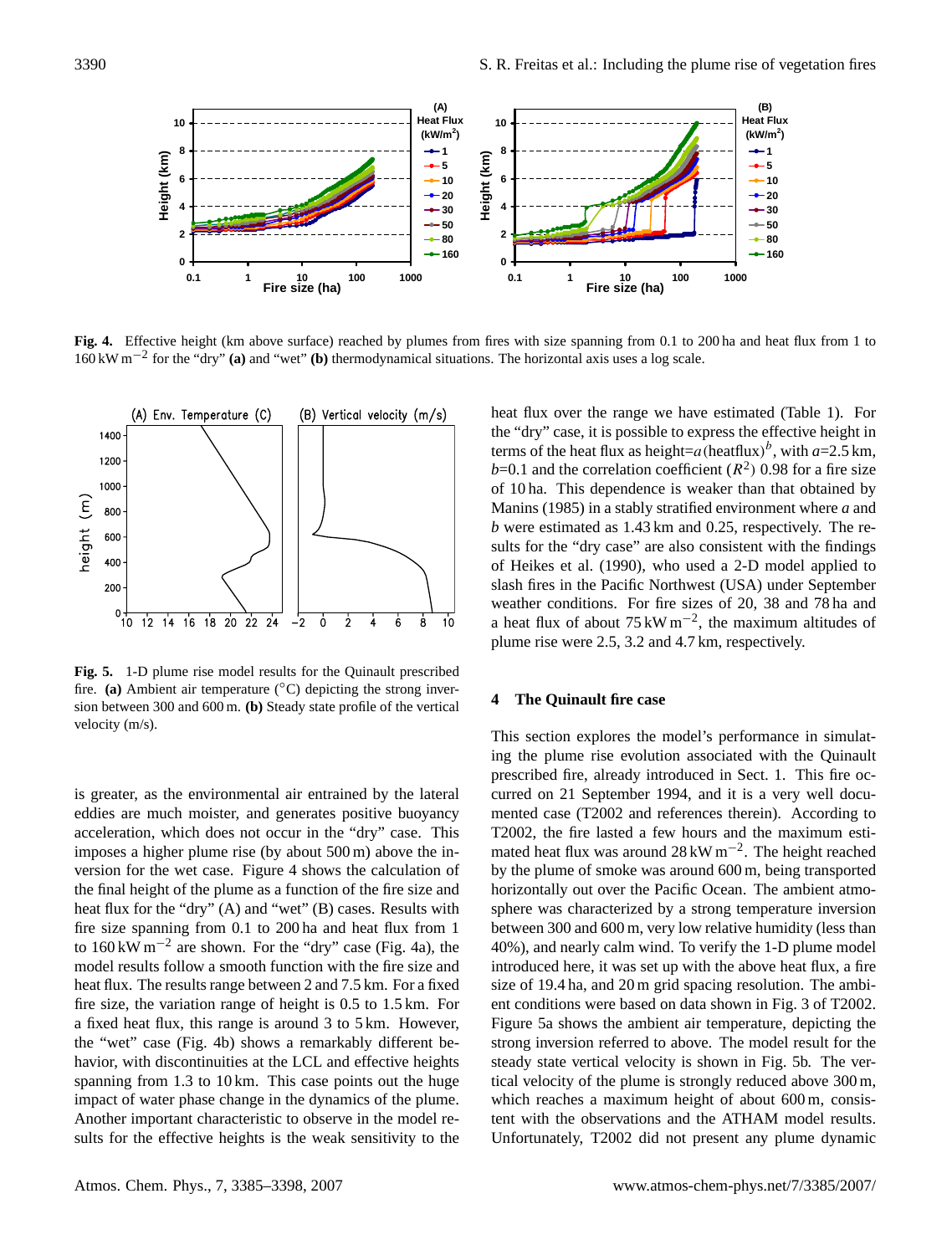

<span id="page-5-0"></span>**Fig. 4.** Effective height (km above surface) reached by plumes from fires with size spanning from 0.1 to 200 ha and heat flux from 1 to 160 kW m−<sup>2</sup> for the "dry" **(a)** and "wet" **(b)** thermodynamical situations. The horizontal axis uses a log scale.



<span id="page-5-1"></span>**Fig. 5.** 1-D plume rise model results for the Quinault prescribed fire. **(a)** Ambient air temperature  $({}^{\circ}C)$  depicting the strong inversion between 300 and 600 m. **(b)** Steady state profile of the vertical velocity (m/s).

is greater, as the environmental air entrained by the lateral eddies are much moister, and generates positive buoyancy acceleration, which does not occur in the "dry" case. This imposes a higher plume rise (by about 500 m) above the inversion for the wet case. Figure [4](#page-5-0) shows the calculation of the final height of the plume as a function of the fire size and heat flux for the "dry" (A) and "wet" (B) cases. Results with fire size spanning from 0.1 to 200 ha and heat flux from 1 to  $160 \text{ kW m}^{-2}$  are shown. For the "dry" case (Fig. [4a](#page-5-0)), the model results follow a smooth function with the fire size and heat flux. The results range between 2 and 7.5 km. For a fixed fire size, the variation range of height is 0.5 to 1.5 km. For a fixed heat flux, this range is around 3 to 5 km. However, the "wet" case (Fig. [4b](#page-5-0)) shows a remarkably different behavior, with discontinuities at the LCL and effective heights spanning from 1.3 to 10 km. This case points out the huge impact of water phase change in the dynamics of the plume. Another important characteristic to observe in the model results for the effective heights is the weak sensitivity to the heat flux over the range we have estimated (Table 1). For the "dry" case, it is possible to express the effective height in terms of the heat flux as height=a(heatflux)<sup>b</sup>, with  $a=2.5$  km,  $b=0.1$  and the correlation coefficient ( $R<sup>2</sup>$ ) 0.98 for a fire size of 10 ha. This dependence is weaker than that obtained by [Manins](#page-12-28) [\(1985\)](#page-12-28) in a stably stratified environment where *a* and *b* were estimated as 1.43 km and 0.25, respectively. The results for the "dry case" are also consistent with the findings of [Heikes et al.](#page-12-10) [\(1990\)](#page-12-10), who used a 2-D model applied to slash fires in the Pacific Northwest (USA) under September weather conditions. For fire sizes of 20, 38 and 78 ha and a heat flux of about  $75 \text{ kW m}^{-2}$ , the maximum altitudes of plume rise were 2.5, 3.2 and 4.7 km, respectively.

## **4 The Quinault fire case**

This section explores the model's performance in simulating the plume rise evolution associated with the Quinault prescribed fire, already introduced in Sect. 1. This fire occurred on 21 September 1994, and it is a very well documented case (T2002 and references therein). According to T2002, the fire lasted a few hours and the maximum estimated heat flux was around 28 kW m−<sup>2</sup> . The height reached by the plume of smoke was around 600 m, being transported horizontally out over the Pacific Ocean. The ambient atmosphere was characterized by a strong temperature inversion between 300 and 600 m, very low relative humidity (less than 40%), and nearly calm wind. To verify the 1-D plume model introduced here, it was set up with the above heat flux, a fire size of 19.4 ha, and 20 m grid spacing resolution. The ambient conditions were based on data shown in Fig. 3 of T2002. Figure [5a](#page-5-1) shows the ambient air temperature, depicting the strong inversion referred to above. The model result for the steady state vertical velocity is shown in Fig. [5b](#page-5-1). The vertical velocity of the plume is strongly reduced above 300 m, which reaches a maximum height of about 600 m, consistent with the observations and the ATHAM model results. Unfortunately, T2002 did not present any plume dynamic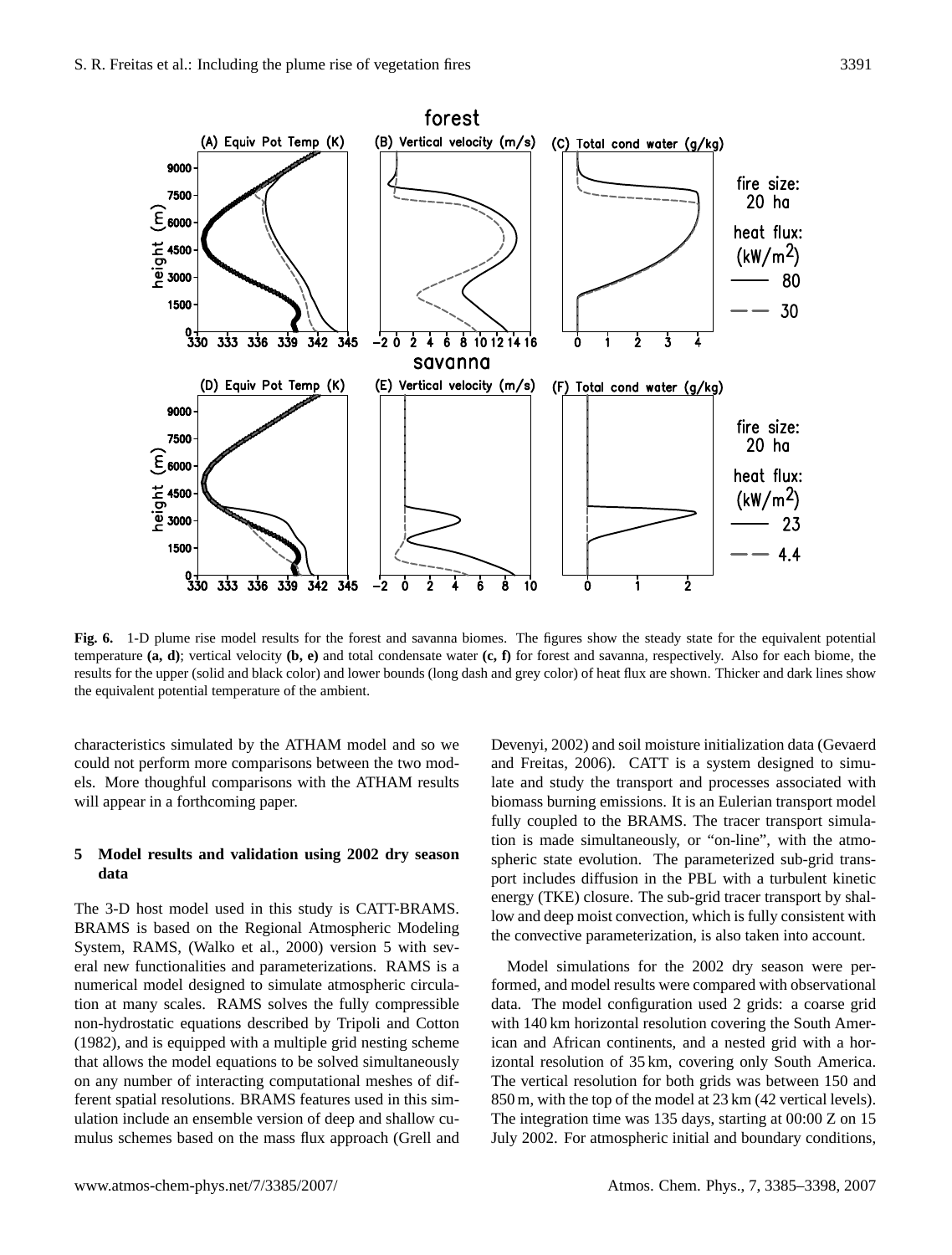forest (B) Vertical velocity (m/s) (A) Equiv Pot Temp (K) (C) Total cond water (g/kg) 9000 fire size: 7500 20 ha  $\mathcal{E}_{\text{6000}}$ heat flux:  $\frac{1}{9}$  4500<br> $\frac{1}{9}$  3000  $(kW/m<sup>2</sup>)$ 80 1500 30  $^{0}_{330}$ 333 336 339 342 345  $-2$  0  $\frac{1}{2}$  4 6 8 10 12 14 16 Ó  $\dot{2}$ ż À savanna (D) Equiv Pot Temp (K) (E) Vertical velocity (m/s)  $(F)$  Total cond water  $(g/kg)$ 9000 fire size: 7500  $20$  ha  $\widehat{\epsilon}_{\textbf{6000}}$ heat flux:  $\frac{1}{9}$  4500<br> $\frac{1}{9}$  3000  $(kW/m<sup>2</sup>)$ 23 1500  $4.4$  $\frac{1}{2}$ 336 339 342 ġ  $10$ 333 345 Ġ Ċ

<span id="page-6-0"></span>**Fig. 6.** 1-D plume rise model results for the forest and savanna biomes. The figures show the steady state for the equivalent potential temperature **(a, d)**; vertical velocity **(b, e)** and total condensate water **(c, f)** for forest and savanna, respectively. Also for each biome, the results for the upper (solid and black color) and lower bounds (long dash and grey color) of heat flux are shown. Thicker and dark lines show the equivalent potential temperature of the ambient.

characteristics simulated by the ATHAM model and so we could not perform more comparisons between the two models. More thoughful comparisons with the ATHAM results will appear in a forthcoming paper.

## **5 Model results and validation using 2002 dry season data**

The 3-D host model used in this study is CATT-BRAMS. BRAMS is based on the Regional Atmospheric Modeling System, RAMS, [\(Walko et al.,](#page-13-1) [2000\)](#page-13-1) version 5 with several new functionalities and parameterizations. RAMS is a numerical model designed to simulate atmospheric circulation at many scales. RAMS solves the fully compressible non-hydrostatic equations described by [Tripoli and Cotton](#page-12-29) [\(1982\)](#page-12-29), and is equipped with a multiple grid nesting scheme that allows the model equations to be solved simultaneously on any number of interacting computational meshes of different spatial resolutions. BRAMS features used in this simulation include an ensemble version of deep and shallow cumulus schemes based on the mass flux approach [\(Grell and](#page-11-15) [Devenyi,](#page-11-15) [2002\)](#page-11-15) and soil moisture initialization data [\(Gevaerd](#page-11-16) [and Freitas,](#page-11-16) [2006\)](#page-11-16). CATT is a system designed to simulate and study the transport and processes associated with biomass burning emissions. It is an Eulerian transport model fully coupled to the BRAMS. The tracer transport simulation is made simultaneously, or "on-line", with the atmospheric state evolution. The parameterized sub-grid transport includes diffusion in the PBL with a turbulent kinetic energy (TKE) closure. The sub-grid tracer transport by shallow and deep moist convection, which is fully consistent with the convective parameterization, is also taken into account.

Model simulations for the 2002 dry season were performed, and model results were compared with observational data. The model configuration used 2 grids: a coarse grid with 140 km horizontal resolution covering the South American and African continents, and a nested grid with a horizontal resolution of 35 km, covering only South America. The vertical resolution for both grids was between 150 and 850 m, with the top of the model at 23 km (42 vertical levels). The integration time was 135 days, starting at 00:00 Z on 15 July 2002. For atmospheric initial and boundary conditions,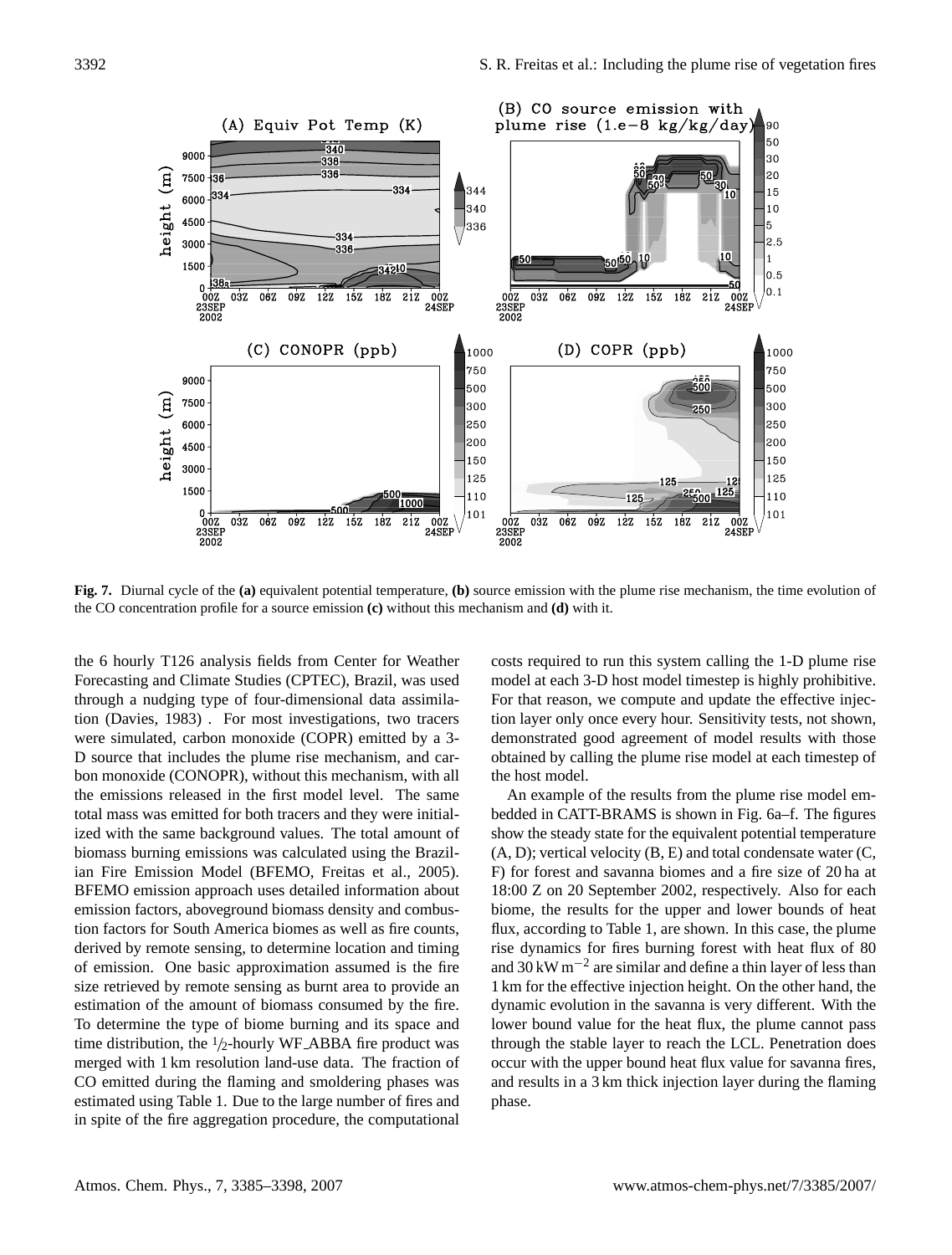

<span id="page-7-0"></span>**Fig. 7.** Diurnal cycle of the **(a)** equivalent potential temperature, **(b)** source emission with the plume rise mechanism, the time evolution of the CO concentration profile for a source emission **(c)** without this mechanism and **(d)** with it.

the 6 hourly T126 analysis fields from Center for Weather Forecasting and Climate Studies (CPTEC), Brazil, was used through a nudging type of four-dimensional data assimilation [\(Davies,](#page-11-17) [1983\)](#page-11-17) . For most investigations, two tracers were simulated, carbon monoxide (COPR) emitted by a 3- D source that includes the plume rise mechanism, and carbon monoxide (CONOPR), without this mechanism, with all the emissions released in the first model level. The same total mass was emitted for both tracers and they were initialized with the same background values. The total amount of biomass burning emissions was calculated using the Brazilian Fire Emission Model (BFEMO, [Freitas et al.,](#page-11-8) [2005\)](#page-11-8). BFEMO emission approach uses detailed information about emission factors, aboveground biomass density and combustion factors for South America biomes as well as fire counts, derived by remote sensing, to determine location and timing of emission. One basic approximation assumed is the fire size retrieved by remote sensing as burnt area to provide an estimation of the amount of biomass consumed by the fire. To determine the type of biome burning and its space and time distribution, the  $1/2$ -hourly WF\_ABBA fire product was merged with 1 km resolution land-use data. The fraction of CO emitted during the flaming and smoldering phases was estimated using Table 1. Due to the large number of fires and in spite of the fire aggregation procedure, the computational costs required to run this system calling the 1-D plume rise model at each 3-D host model timestep is highly prohibitive. For that reason, we compute and update the effective injection layer only once every hour. Sensitivity tests, not shown, demonstrated good agreement of model results with those obtained by calling the plume rise model at each timestep of the host model.

An example of the results from the plume rise model embedded in CATT-BRAMS is shown in Fig. [6a](#page-6-0)–f. The figures show the steady state for the equivalent potential temperature  $(A, D)$ ; vertical velocity  $(B, E)$  and total condensate water  $(C, E)$ F) for forest and savanna biomes and a fire size of 20 ha at 18:00 Z on 20 September 2002, respectively. Also for each biome, the results for the upper and lower bounds of heat flux, according to Table 1, are shown. In this case, the plume rise dynamics for fires burning forest with heat flux of 80 and 30 kW m−<sup>2</sup> are similar and define a thin layer of less than 1 km for the effective injection height. On the other hand, the dynamic evolution in the savanna is very different. With the lower bound value for the heat flux, the plume cannot pass through the stable layer to reach the LCL. Penetration does occur with the upper bound heat flux value for savanna fires, and results in a 3 km thick injection layer during the flaming phase.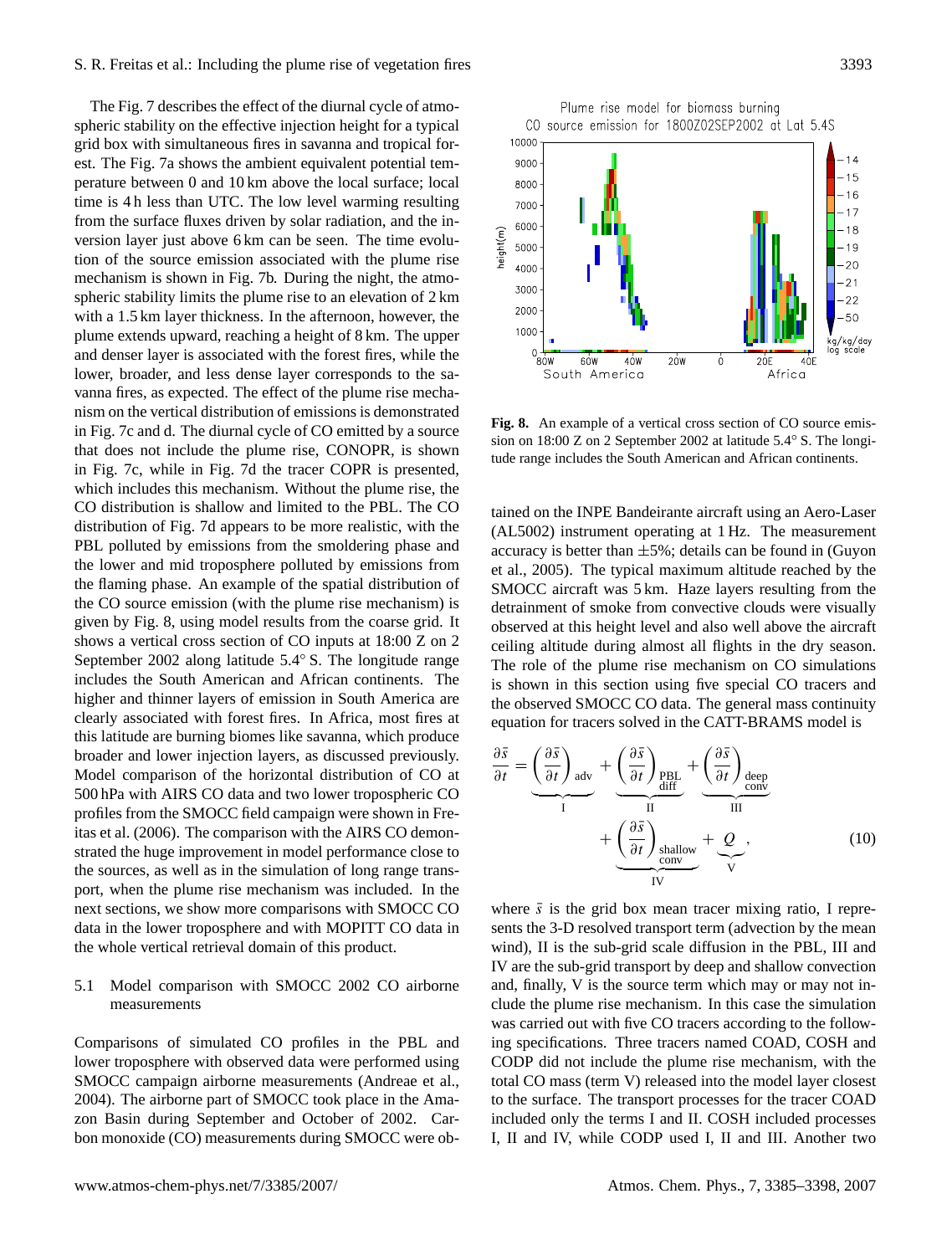The Fig. [7](#page-7-0) describes the effect of the diurnal cycle of atmospheric stability on the effective injection height for a typical grid box with simultaneous fires in savanna and tropical forest. The Fig. [7a](#page-7-0) shows the ambient equivalent potential temperature between 0 and 10 km above the local surface; local time is 4 h less than UTC. The low level warming resulting from the surface fluxes driven by solar radiation, and the inversion layer just above 6 km can be seen. The time evolution of the source emission associated with the plume rise mechanism is shown in Fig. [7b](#page-7-0). During the night, the atmospheric stability limits the plume rise to an elevation of 2 km with a 1.5 km layer thickness. In the afternoon, however, the plume extends upward, reaching a height of 8 km. The upper and denser layer is associated with the forest fires, while the lower, broader, and less dense layer corresponds to the savanna fires, as expected. The effect of the plume rise mechanism on the vertical distribution of emissions is demonstrated in Fig. [7c](#page-7-0) and d. The diurnal cycle of CO emitted by a source that does not include the plume rise, CONOPR, is shown in Fig. [7c](#page-7-0), while in Fig. [7d](#page-7-0) the tracer COPR is presented, which includes this mechanism. Without the plume rise, the CO distribution is shallow and limited to the PBL. The CO distribution of Fig. [7d](#page-7-0) appears to be more realistic, with the PBL polluted by emissions from the smoldering phase and the lower and mid troposphere polluted by emissions from the flaming phase. An example of the spatial distribution of the CO source emission (with the plume rise mechanism) is given by Fig. [8,](#page-8-0) using model results from the coarse grid. It shows a vertical cross section of CO inputs at 18:00 Z on 2 September 2002 along latitude 5.4◦ S. The longitude range includes the South American and African continents. The higher and thinner layers of emission in South America are clearly associated with forest fires. In Africa, most fires at this latitude are burning biomes like savanna, which produce broader and lower injection layers, as discussed previously. Model comparison of the horizontal distribution of CO at 500 hPa with AIRS CO data and two lower tropospheric CO profiles from the SMOCC field campaign were shown in [Fre](#page-11-11)[itas et al.](#page-11-11) [\(2006\)](#page-11-11). The comparison with the AIRS CO demonstrated the huge improvement in model performance close to the sources, as well as in the simulation of long range transport, when the plume rise mechanism was included. In the next sections, we show more comparisons with SMOCC CO data in the lower troposphere and with MOPITT CO data in the whole vertical retrieval domain of this product.

## 5.1 Model comparison with SMOCC 2002 CO airborne measurements

Comparisons of simulated CO profiles in the PBL and lower troposphere with observed data were performed using SMOCC campaign airborne measurements [\(Andreae et al.,](#page-11-10) [2004\)](#page-11-10). The airborne part of SMOCC took place in the Amazon Basin during September and October of 2002. Carbon monoxide (CO) measurements during SMOCC were ob-



<span id="page-8-0"></span>**Fig. 8.** An example of a vertical cross section of CO source emission on 18:00 Z on 2 September 2002 at latitude 5.4° S. The longitude range includes the South American and African continents.

tained on the INPE Bandeirante aircraft using an Aero-Laser (AL5002) instrument operating at 1 Hz. The measurement accuracy is better than  $\pm 5\%$ ; details can be found in [\(Guyon](#page-12-30) [et al.,](#page-12-30) [2005\)](#page-12-30). The typical maximum altitude reached by the SMOCC aircraft was 5 km. Haze layers resulting from the detrainment of smoke from convective clouds were visually observed at this height level and also well above the aircraft ceiling altitude during almost all flights in the dry season. The role of the plume rise mechanism on CO simulations is shown in this section using five special CO tracers and the observed SMOCC CO data. The general mass continuity equation for tracers solved in the CATT-BRAMS model is

$$
\frac{\partial \bar{s}}{\partial t} = \underbrace{\left(\frac{\partial \bar{s}}{\partial t}\right)_{\text{adv}}}_{I} + \underbrace{\left(\frac{\partial \bar{s}}{\partial t}\right)_{\text{PBL}}}_{\text{full}} + \underbrace{\left(\frac{\partial \bar{s}}{\partial t}\right)_{\text{deep}}}_{\text{conv}} + \underbrace{\left(\frac{\partial \bar{s}}{\partial t}\right)_{\text{chain}}}_{\text{IV}} \tag{10}
$$

where  $\bar{s}$  is the grid box mean tracer mixing ratio, I represents the 3-D resolved transport term (advection by the mean wind), II is the sub-grid scale diffusion in the PBL, III and IV are the sub-grid transport by deep and shallow convection and, finally, V is the source term which may or may not include the plume rise mechanism. In this case the simulation was carried out with five CO tracers according to the following specifications. Three tracers named COAD, COSH and CODP did not include the plume rise mechanism, with the total CO mass (term V) released into the model layer closest to the surface. The transport processes for the tracer COAD included only the terms I and II. COSH included processes I, II and IV, while CODP used I, II and III. Another two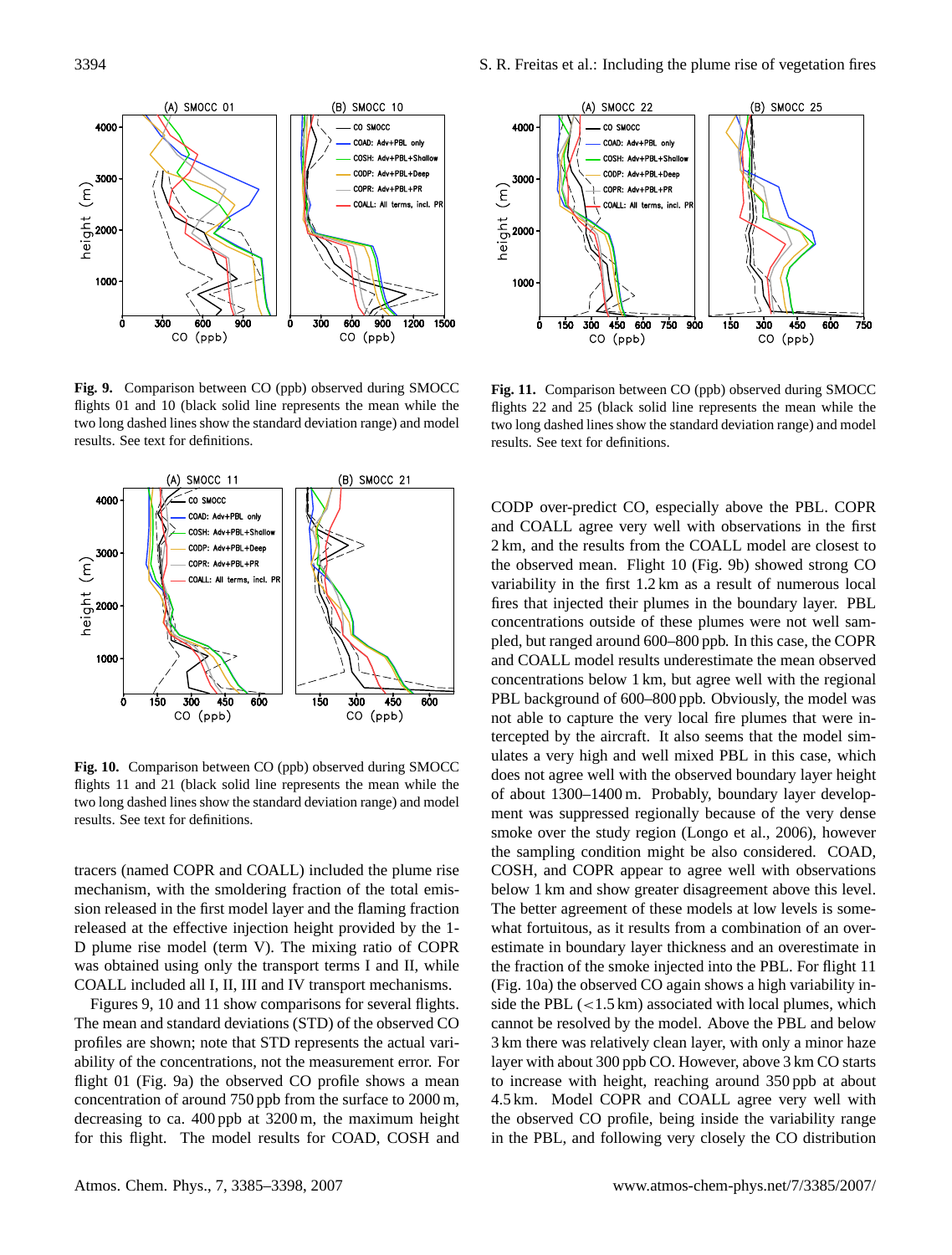

<span id="page-9-0"></span>**Fig. 9.** Comparison between CO (ppb) observed during SMOCC flights 01 and 10 (black solid line represents the mean while the two long dashed lines show the standard deviation range) and model results. See text for definitions.



<span id="page-9-1"></span>**Fig. 10.** Comparison between CO (ppb) observed during SMOCC flights 11 and 21 (black solid line represents the mean while the two long dashed lines show the standard deviation range) and model results. See text for definitions.

tracers (named COPR and COALL) included the plume rise mechanism, with the smoldering fraction of the total emission released in the first model layer and the flaming fraction released at the effective injection height provided by the 1- D plume rise model (term V). The mixing ratio of COPR was obtained using only the transport terms I and II, while COALL included all I, II, III and IV transport mechanisms.

Figures [9,](#page-9-0) [10](#page-9-1) and [11](#page-9-2) show comparisons for several flights. The mean and standard deviations (STD) of the observed CO profiles are shown; note that STD represents the actual variability of the concentrations, not the measurement error. For flight 01 (Fig. [9a](#page-9-0)) the observed CO profile shows a mean concentration of around 750 ppb from the surface to 2000 m, decreasing to ca. 400 ppb at 3200 m, the maximum height for this flight. The model results for COAD, COSH and



<span id="page-9-2"></span>**Fig. 11.** Comparison between CO (ppb) observed during SMOCC flights 22 and 25 (black solid line represents the mean while the two long dashed lines show the standard deviation range) and model results. See text for definitions.

CODP over-predict CO, especially above the PBL. COPR and COALL agree very well with observations in the first 2 km, and the results from the COALL model are closest to the observed mean. Flight 10 (Fig. [9b](#page-9-0)) showed strong CO variability in the first 1.2 km as a result of numerous local fires that injected their plumes in the boundary layer. PBL concentrations outside of these plumes were not well sampled, but ranged around 600–800 ppb. In this case, the COPR and COALL model results underestimate the mean observed concentrations below 1 km, but agree well with the regional PBL background of 600–800 ppb. Obviously, the model was not able to capture the very local fire plumes that were intercepted by the aircraft. It also seems that the model simulates a very high and well mixed PBL in this case, which does not agree well with the observed boundary layer height of about 1300–1400 m. Probably, boundary layer development was suppressed regionally because of the very dense smoke over the study region [\(Longo et al.,](#page-12-31) [2006\)](#page-12-31), however the sampling condition might be also considered. COAD, COSH, and COPR appear to agree well with observations below 1 km and show greater disagreement above this level. The better agreement of these models at low levels is somewhat fortuitous, as it results from a combination of an overestimate in boundary layer thickness and an overestimate in the fraction of the smoke injected into the PBL. For flight 11 (Fig. [10a](#page-9-1)) the observed CO again shows a high variability inside the PBL  $\left($  < 1.5 km) associated with local plumes, which cannot be resolved by the model. Above the PBL and below 3 km there was relatively clean layer, with only a minor haze layer with about 300 ppb CO. However, above 3 km CO starts to increase with height, reaching around 350 ppb at about 4.5 km. Model COPR and COALL agree very well with the observed CO profile, being inside the variability range in the PBL, and following very closely the CO distribution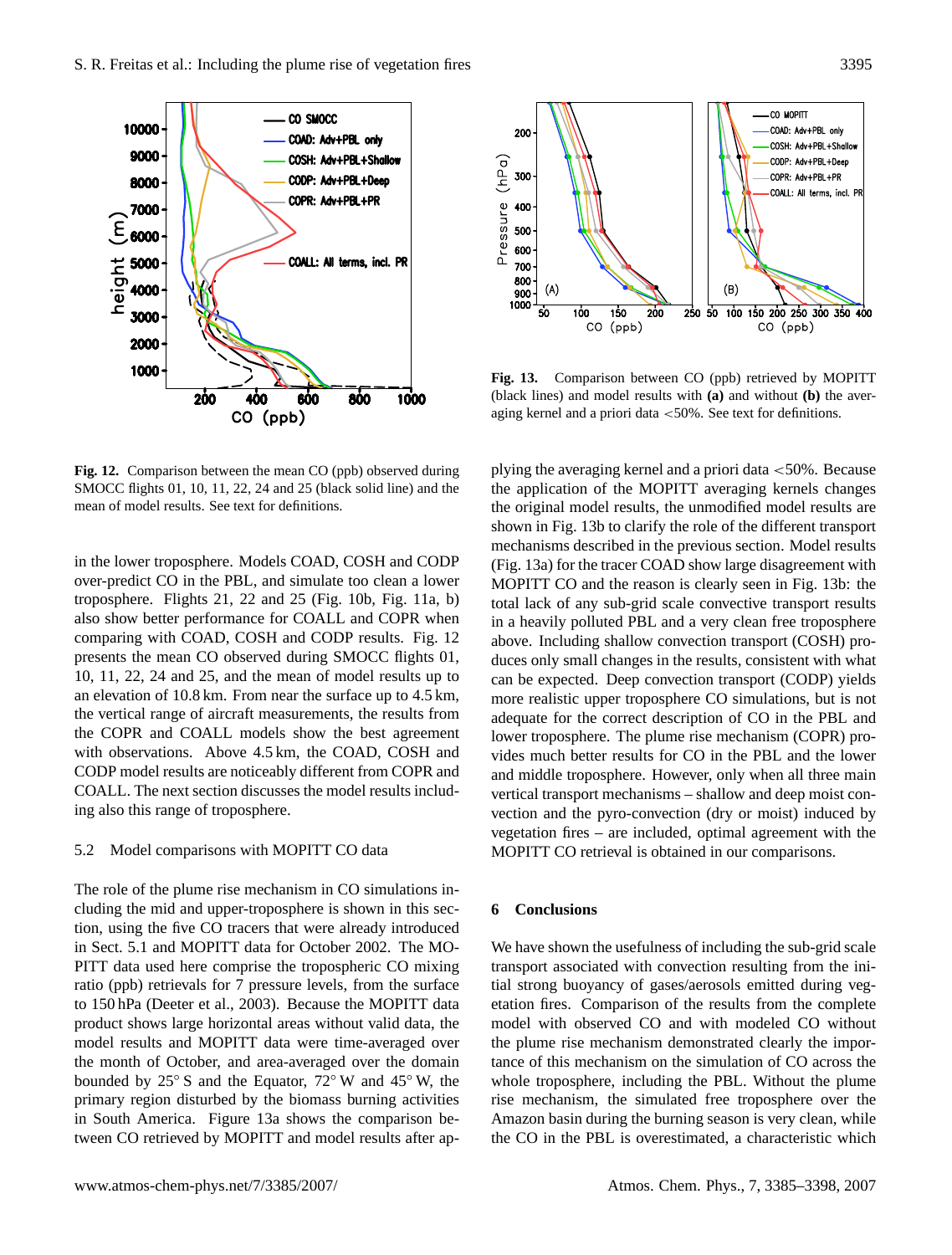

<span id="page-10-0"></span>**Fig. 12.** Comparison between the mean CO (ppb) observed during SMOCC flights 01, 10, 11, 22, 24 and 25 (black solid line) and the mean of model results. See text for definitions.

in the lower troposphere. Models COAD, COSH and CODP over-predict CO in the PBL, and simulate too clean a lower troposphere. Flights 21, 22 and 25 (Fig. [10b](#page-9-1), Fig. [11a](#page-9-2), b) also show better performance for COALL and COPR when comparing with COAD, COSH and CODP results. Fig. [12](#page-10-0) presents the mean CO observed during SMOCC flights 01, 10, 11, 22, 24 and 25, and the mean of model results up to an elevation of 10.8 km. From near the surface up to 4.5 km, the vertical range of aircraft measurements, the results from the COPR and COALL models show the best agreement with observations. Above 4.5 km, the COAD, COSH and CODP model results are noticeably different from COPR and COALL. The next section discusses the model results including also this range of troposphere.

#### 5.2 Model comparisons with MOPITT CO data

The role of the plume rise mechanism in CO simulations including the mid and upper-troposphere is shown in this section, using the five CO tracers that were already introduced in Sect. 5.1 and MOPITT data for October 2002. The MO-PITT data used here comprise the tropospheric CO mixing ratio (ppb) retrievals for 7 pressure levels, from the surface to 150 hPa [\(Deeter et al.,](#page-11-18) [2003\)](#page-11-18). Because the MOPITT data product shows large horizontal areas without valid data, the model results and MOPITT data were time-averaged over the month of October, and area-averaged over the domain bounded by 25◦ S and the Equator, 72◦ W and 45◦ W, the primary region disturbed by the biomass burning activities in South America. Figure [13a](#page-10-1) shows the comparison between CO retrieved by MOPITT and model results after ap-



<span id="page-10-1"></span>**Fig. 13.** Comparison between CO (ppb) retrieved by MOPITT (black lines) and model results with **(a)** and without **(b)** the averaging kernel and a priori data <50%. See text for definitions.

plying the averaging kernel and a priori data  $\langle 50\% \rangle$ . Because the application of the MOPITT averaging kernels changes the original model results, the unmodified model results are shown in Fig. [13b](#page-10-1) to clarify the role of the different transport mechanisms described in the previous section. Model results (Fig. [13a](#page-10-1)) for the tracer COAD show large disagreement with MOPITT CO and the reason is clearly seen in Fig. [13b](#page-10-1): the total lack of any sub-grid scale convective transport results in a heavily polluted PBL and a very clean free troposphere above. Including shallow convection transport (COSH) produces only small changes in the results, consistent with what can be expected. Deep convection transport (CODP) yields more realistic upper troposphere CO simulations, but is not adequate for the correct description of CO in the PBL and lower troposphere. The plume rise mechanism (COPR) provides much better results for CO in the PBL and the lower and middle troposphere. However, only when all three main vertical transport mechanisms – shallow and deep moist convection and the pyro-convection (dry or moist) induced by vegetation fires – are included, optimal agreement with the MOPITT CO retrieval is obtained in our comparisons.

## **6 Conclusions**

We have shown the usefulness of including the sub-grid scale transport associated with convection resulting from the initial strong buoyancy of gases/aerosols emitted during vegetation fires. Comparison of the results from the complete model with observed CO and with modeled CO without the plume rise mechanism demonstrated clearly the importance of this mechanism on the simulation of CO across the whole troposphere, including the PBL. Without the plume rise mechanism, the simulated free troposphere over the Amazon basin during the burning season is very clean, while the CO in the PBL is overestimated, a characteristic which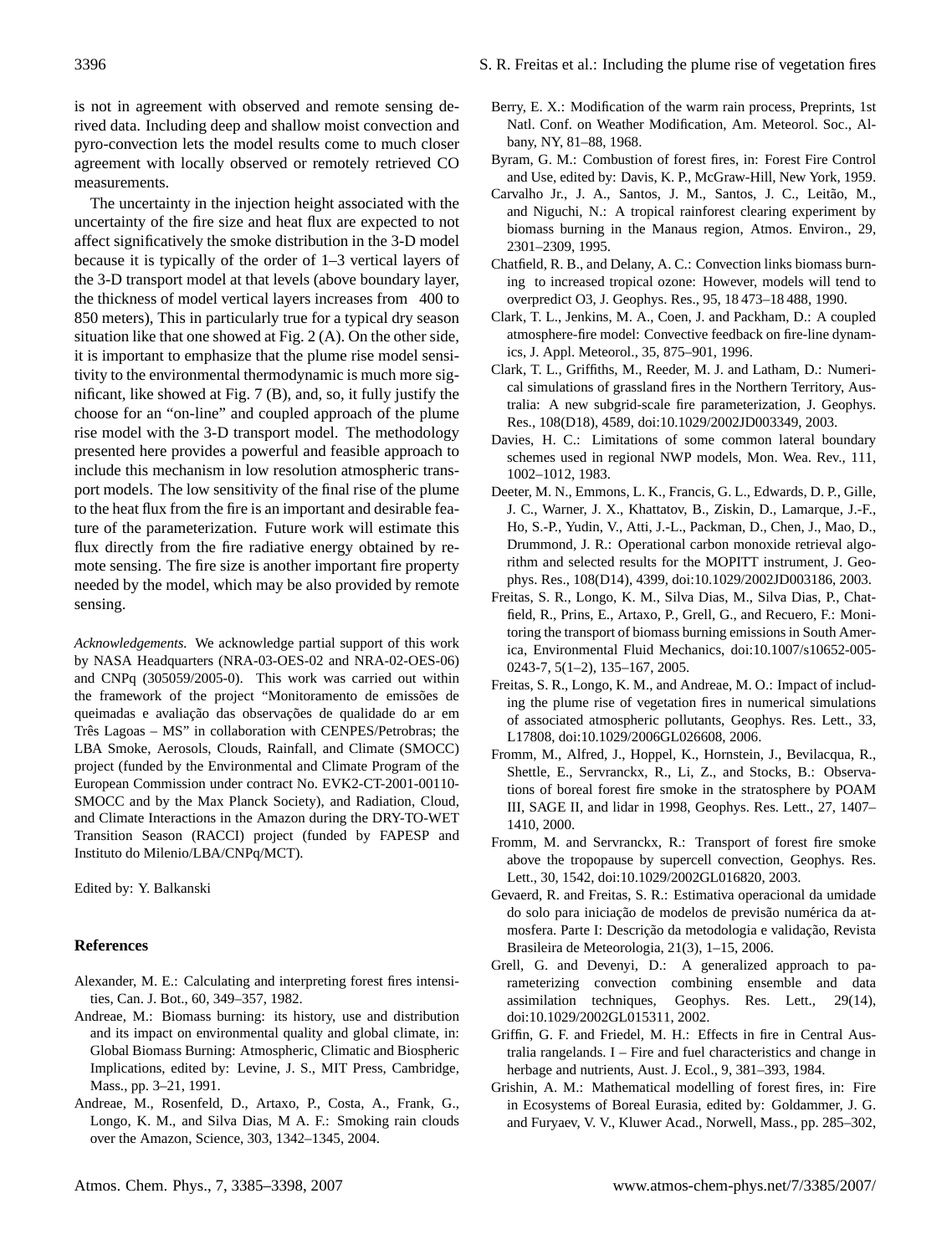is not in agreement with observed and remote sensing derived data. Including deep and shallow moist convection and pyro-convection lets the model results come to much closer agreement with locally observed or remotely retrieved CO measurements.

The uncertainty in the injection height associated with the uncertainty of the fire size and heat flux are expected to not affect significatively the smoke distribution in the 3-D model because it is typically of the order of 1–3 vertical layers of the 3-D transport model at that levels (above boundary layer, the thickness of model vertical layers increases from 400 to 850 meters), This in particularly true for a typical dry season situation like that one showed at Fig. [2](#page-4-0) (A). On the other side, it is important to emphasize that the plume rise model sensitivity to the environmental thermodynamic is much more significant, like showed at Fig. [7](#page-7-0) (B), and, so, it fully justify the choose for an "on-line" and coupled approach of the plume rise model with the 3-D transport model. The methodology presented here provides a powerful and feasible approach to include this mechanism in low resolution atmospheric transport models. The low sensitivity of the final rise of the plume to the heat flux from the fire is an important and desirable feature of the parameterization. Future work will estimate this flux directly from the fire radiative energy obtained by remote sensing. The fire size is another important fire property needed by the model, which may be also provided by remote sensing.

*Acknowledgements.* We acknowledge partial support of this work by NASA Headquarters (NRA-03-OES-02 and NRA-02-OES-06) and CNPq (305059/2005-0). This work was carried out within the framework of the project "Monitoramento de emissões de queimadas e avaliação das observações de qualidade do ar em Três Lagoas – MS" in collaboration with CENPES/Petrobras; the LBA Smoke, Aerosols, Clouds, Rainfall, and Climate (SMOCC) project (funded by the Environmental and Climate Program of the European Commission under contract No. EVK2-CT-2001-00110- SMOCC and by the Max Planck Society), and Radiation, Cloud, and Climate Interactions in the Amazon during the DRY-TO-WET Transition Season (RACCI) project (funded by FAPESP and Instituto do Milenio/LBA/CNPq/MCT).

Edited by: Y. Balkanski

#### **References**

- <span id="page-11-13"></span>Alexander, M. E.: Calculating and interpreting forest fires intensities, Can. J. Bot., 60, 349–357, 1982.
- <span id="page-11-0"></span>Andreae, M.: Biomass burning: its history, use and distribution and its impact on environmental quality and global climate, in: Global Biomass Burning: Atmospheric, Climatic and Biospheric Implications, edited by: Levine, J. S., MIT Press, Cambridge, Mass., pp. 3–21, 1991.
- <span id="page-11-10"></span>Andreae, M., Rosenfeld, D., Artaxo, P., Costa, A., Frank, G., Longo, K. M., and Silva Dias, M A. F.: Smoking rain clouds over the Amazon, Science, 303, 1342–1345, 2004.
- <span id="page-11-9"></span>Berry, E. X.: Modification of the warm rain process, Preprints, 1st Natl. Conf. on Weather Modification, Am. Meteorol. Soc., Albany, NY, 81–88, 1968.
- <span id="page-11-12"></span>Byram, G. M.: Combustion of forest fires, in: Forest Fire Control and Use, edited by: Davis, K. P., McGraw-Hill, New York, 1959.
- <span id="page-11-7"></span>Carvalho Jr., J. A., Santos, J. M., Santos, J. C., Leitão, M., and Niguchi, N.: A tropical rainforest clearing experiment by biomass burning in the Manaus region, Atmos. Environ., 29, 2301–2309, 1995.
- <span id="page-11-3"></span>Chatfield, R. B., and Delany, A. C.: Convection links biomass burning to increased tropical ozone: However, models will tend to overpredict O3, J. Geophys. Res., 95, 18 473–18 488, 1990.
- <span id="page-11-4"></span>Clark, T. L., Jenkins, M. A., Coen, J. and Packham, D.: A coupled atmosphere-fire model: Convective feedback on fire-line dynamics, J. Appl. Meteorol., 35, 875–901, 1996.
- <span id="page-11-6"></span>Clark, T. L., Griffiths, M., Reeder, M. J. and Latham, D.: Numerical simulations of grassland fires in the Northern Territory, Australia: A new subgrid-scale fire parameterization, J. Geophys. Res., 108(D18), 4589, doi:10.1029/2002JD003349, 2003.
- <span id="page-11-17"></span>Davies, H. C.: Limitations of some common lateral boundary schemes used in regional NWP models, Mon. Wea. Rev., 111, 1002–1012, 1983.
- <span id="page-11-18"></span>Deeter, M. N., Emmons, L. K., Francis, G. L., Edwards, D. P., Gille, J. C., Warner, J. X., Khattatov, B., Ziskin, D., Lamarque, J.-F., Ho, S.-P., Yudin, V., Atti, J.-L., Packman, D., Chen, J., Mao, D., Drummond, J. R.: Operational carbon monoxide retrieval algorithm and selected results for the MOPITT instrument, J. Geophys. Res., 108(D14), 4399, doi:10.1029/2002JD003186, 2003.
- <span id="page-11-8"></span>Freitas, S. R., Longo, K. M., Silva Dias, M., Silva Dias, P., Chatfield, R., Prins, E., Artaxo, P., Grell, G., and Recuero, F.: Monitoring the transport of biomass burning emissions in South America, Environmental Fluid Mechanics, doi:10.1007/s10652-005- 0243-7, 5(1–2), 135–167, 2005.
- <span id="page-11-11"></span>Freitas, S. R., Longo, K. M., and Andreae, M. O.: Impact of including the plume rise of vegetation fires in numerical simulations of associated atmospheric pollutants, Geophys. Res. Lett., 33, L17808, doi:10.1029/2006GL026608, 2006.
- <span id="page-11-1"></span>Fromm, M., Alfred, J., Hoppel, K., Hornstein, J., Bevilacqua, R., Shettle, E., Servranckx, R., Li, Z., and Stocks, B.: Observations of boreal forest fire smoke in the stratosphere by POAM III, SAGE II, and lidar in 1998, Geophys. Res. Lett., 27, 1407– 1410, 2000.
- <span id="page-11-2"></span>Fromm, M. and Servranckx, R.: Transport of forest fire smoke above the tropopause by supercell convection, Geophys. Res. Lett., 30, 1542, doi:10.1029/2002GL016820, 2003.
- <span id="page-11-16"></span>Gevaerd, R. and Freitas, S. R.: Estimativa operacional da umidade do solo para iniciação de modelos de previsão numérica da atmosfera. Parte I: Descrição da metodologia e validação, Revista Brasileira de Meteorologia, 21(3), 1–15, 2006.
- <span id="page-11-15"></span>Grell, G. and Devenyi, D.: A generalized approach to parameterizing convection combining ensemble and data assimilation techniques, Geophys. Res. Lett., 29(14), doi:10.1029/2002GL015311, 2002.
- <span id="page-11-14"></span>Griffin, G. F. and Friedel, M. H.: Effects in fire in Central Australia rangelands. I – Fire and fuel characteristics and change in herbage and nutrients, Aust. J. Ecol., 9, 381–393, 1984.
- <span id="page-11-5"></span>Grishin, A. M.: Mathematical modelling of forest fires, in: Fire in Ecosystems of Boreal Eurasia, edited by: Goldammer, J. G. and Furyaev, V. V., Kluwer Acad., Norwell, Mass., pp. 285–302,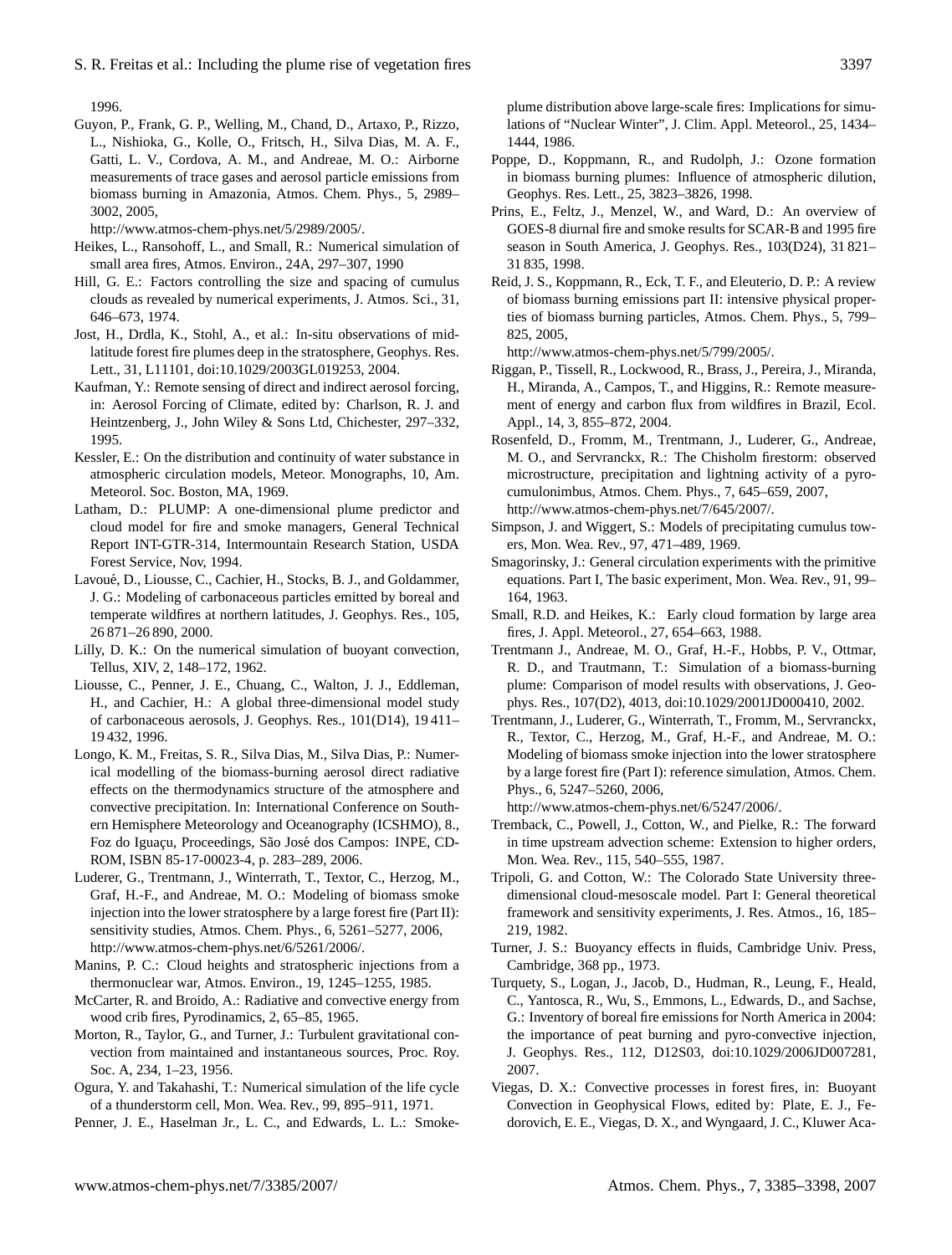1996.

<span id="page-12-30"></span>Guyon, P., Frank, G. P., Welling, M., Chand, D., Artaxo, P., Rizzo, L., Nishioka, G., Kolle, O., Fritsch, H., Silva Dias, M. A. F., Gatti, L. V., Cordova, A. M., and Andreae, M. O.: Airborne measurements of trace gases and aerosol particle emissions from biomass burning in Amazonia, Atmos. Chem. Phys., 5, 2989– 3002, 2005,

[http://www.atmos-chem-phys.net/5/2989/2005/.](http://www.atmos-chem-phys.net/5/2989/2005/)

- <span id="page-12-10"></span>Heikes, L., Ransohoff, L., and Small, R.: Numerical simulation of small area fires, Atmos. Environ., 24A, 297–307, 1990
- <span id="page-12-21"></span>Hill, G. E.: Factors controlling the size and spacing of cumulus clouds as revealed by numerical experiments, J. Atmos. Sci., 31, 646–673, 1974.
- <span id="page-12-2"></span>Jost, H., Drdla, K., Stohl, A., et al.: In-situ observations of midlatitude forest fire plumes deep in the stratosphere, Geophys. Res. Lett., 31, L11101, doi:10.1029/2003GL019253, 2004.
- <span id="page-12-0"></span>Kaufman, Y.: Remote sensing of direct and indirect aerosol forcing, in: Aerosol Forcing of Climate, edited by: Charlson, R. J. and Heintzenberg, J., John Wiley & Sons Ltd, Chichester, 297–332, 1995.
- <span id="page-12-17"></span>Kessler, E.: On the distribution and continuity of water substance in atmospheric circulation models, Meteor. Monographs, 10, Am. Meteorol. Soc. Boston, MA, 1969.
- <span id="page-12-15"></span>Latham, D.: PLUMP: A one-dimensional plume predictor and cloud model for fire and smoke managers, General Technical Report INT-GTR-314, Intermountain Research Station, USDA Forest Service, Nov, 1994.
- <span id="page-12-7"></span>Lavoué, D., Liousse, C., Cachier, H., Stocks, B. J., and Goldammer, J. G.: Modeling of carbonaceous particles emitted by boreal and temperate wildfires at northern latitudes, J. Geophys. Res., 105, 26 871–26 890, 2000.
- <span id="page-12-22"></span>Lilly, D. K.: On the numerical simulation of buoyant convection, Tellus, XIV, 2, 148–172, 1962.
- <span id="page-12-4"></span>Liousse, C., Penner, J. E., Chuang, C., Walton, J. J., Eddleman, H., and Cachier, H.: A global three-dimensional model study of carbonaceous aerosols, J. Geophys. Res., 101(D14), 19 411– 19 432, 1996.
- <span id="page-12-31"></span>Longo, K. M., Freitas, S. R., Silva Dias, M., Silva Dias, P.: Numerical modelling of the biomass-burning aerosol direct radiative effects on the thermodynamics structure of the atmosphere and convective precipitation. In: International Conference on Southern Hemisphere Meteorology and Oceanography (ICSHMO), 8., Foz do Iguaçu, Proceedings, São José dos Campos: INPE, CD-ROM, ISBN 85-17-00023-4, p. 283–289, 2006.
- <span id="page-12-12"></span>Luderer, G., Trentmann, J., Winterrath, T., Textor, C., Herzog, M., Graf, H.-F., and Andreae, M. O.: Modeling of biomass smoke injection into the lower stratosphere by a large forest fire (Part II): sensitivity studies, Atmos. Chem. Phys., 6, 5261–5277, 2006, [http://www.atmos-chem-phys.net/6/5261/2006/.](http://www.atmos-chem-phys.net/6/5261/2006/)
- <span id="page-12-28"></span>Manins, P. C.: Cloud heights and stratospheric injections from a thermonuclear war, Atmos. Environ., 19, 1245–1255, 1985.
- <span id="page-12-24"></span>McCarter, R. and Broido, A.: Radiative and convective energy from wood crib fires, Pyrodinamics, 2, 65–85, 1965.
- <span id="page-12-27"></span>Morton, R., Taylor, G., and Turner, J.: Turbulent gravitational convection from maintained and instantaneous sources, Proc. Roy. Soc. A, 234, 1–23, 1956.
- <span id="page-12-18"></span>Ogura, Y. and Takahashi, T.: Numerical simulation of the life cycle of a thunderstorm cell, Mon. Wea. Rev., 99, 895–911, 1971.

<span id="page-12-8"></span>Penner, J. E., Haselman Jr., L. C., and Edwards, L. L.: Smoke-

plume distribution above large-scale fires: Implications for simulations of "Nuclear Winter", J. Clim. Appl. Meteorol., 25, 1434– 1444, 1986.

- <span id="page-12-5"></span>Poppe, D., Koppmann, R., and Rudolph, J.: Ozone formation in biomass burning plumes: Influence of atmospheric dilution, Geophys. Res. Lett., 25, 3823–3826, 1998.
- <span id="page-12-25"></span>Prins, E., Feltz, J., Menzel, W., and Ward, D.: An overview of GOES-8 diurnal fire and smoke results for SCAR-B and 1995 fire season in South America, J. Geophys. Res., 103(D24), 31 821– 31 835, 1998.
- <span id="page-12-1"></span>Reid, J. S., Koppmann, R., Eck, T. F., and Eleuterio, D. P.: A review of biomass burning emissions part II: intensive physical properties of biomass burning particles, Atmos. Chem. Phys., 5, 799– 825, 2005,

[http://www.atmos-chem-phys.net/5/799/2005/.](http://www.atmos-chem-phys.net/5/799/2005/)

- <span id="page-12-14"></span>Riggan, P., Tissell, R., Lockwood, R., Brass, J., Pereira, J., Miranda, H., Miranda, A., Campos, T., and Higgins, R.: Remote measurement of energy and carbon flux from wildfires in Brazil, Ecol. Appl., 14, 3, 855–872, 2004.
- <span id="page-12-3"></span>Rosenfeld, D., Fromm, M., Trentmann, J., Luderer, G., Andreae, M. O., and Servranckx, R.: The Chisholm firestorm: observed microstructure, precipitation and lightning activity of a pyrocumulonimbus, Atmos. Chem. Phys., 7, 645–659, 2007, [http://www.atmos-chem-phys.net/7/645/2007/.](http://www.atmos-chem-phys.net/7/645/2007/)
- <span id="page-12-16"></span>Simpson, J. and Wiggert, S.: Models of precipitating cumulus towers, Mon. Wea. Rev., 97, 471–489, 1969.
- <span id="page-12-20"></span>Smagorinsky, J.: General circulation experiments with the primitive equations. Part I, The basic experiment, Mon. Wea. Rev., 91, 99– 164, 1963.
- <span id="page-12-9"></span>Small, R.D. and Heikes, K.: Early cloud formation by large area fires, J. Appl. Meteorol., 27, 654–663, 1988.
- <span id="page-12-11"></span>Trentmann J., Andreae, M. O., Graf, H.-F., Hobbs, P. V., Ottmar, R. D., and Trautmann, T.: Simulation of a biomass-burning plume: Comparison of model results with observations, J. Geophys. Res., 107(D2), 4013, doi:10.1029/2001JD000410, 2002.
- <span id="page-12-13"></span>Trentmann, J., Luderer, G., Winterrath, T., Fromm, M., Servranckx, R., Textor, C., Herzog, M., Graf, H.-F., and Andreae, M. O.: Modeling of biomass smoke injection into the lower stratosphere by a large forest fire (Part I): reference simulation, Atmos. Chem. Phys., 6, 5247–5260, 2006,

[http://www.atmos-chem-phys.net/6/5247/2006/.](http://www.atmos-chem-phys.net/6/5247/2006/)

- <span id="page-12-19"></span>Tremback, C., Powell, J., Cotton, W., and Pielke, R.: The forward in time upstream advection scheme: Extension to higher orders, Mon. Wea. Rev., 115, 540–555, 1987.
- <span id="page-12-29"></span>Tripoli, G. and Cotton, W.: The Colorado State University threedimensional cloud-mesoscale model. Part I: General theoretical framework and sensitivity experiments, J. Res. Atmos., 16, 185– 219, 1982.
- <span id="page-12-23"></span>Turner, J. S.: Buoyancy effects in fluids, Cambridge Univ. Press, Cambridge, 368 pp., 1973.
- <span id="page-12-6"></span>Turquety, S., Logan, J., Jacob, D., Hudman, R., Leung, F., Heald, C., Yantosca, R., Wu, S., Emmons, L., Edwards, D., and Sachse, G.: Inventory of boreal fire emissions for North America in 2004: the importance of peat burning and pyro-convective injection, J. Geophys. Res., 112, D12S03, doi:10.1029/2006JD007281, 2007.
- <span id="page-12-26"></span>Viegas, D. X.: Convective processes in forest fires, in: Buoyant Convection in Geophysical Flows, edited by: Plate, E. J., Fedorovich, E. E., Viegas, D. X., and Wyngaard, J. C., Kluwer Aca-